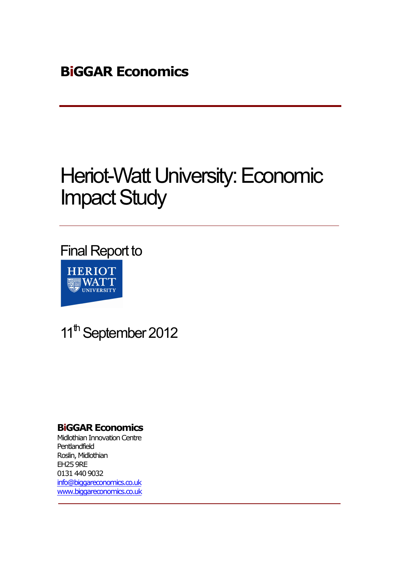# Heriot-Watt University: Economic Impact Study

Final Report to **HERIOT 图WATT** UNIVERSITY

11<sup>th</sup> September 2012

# **BiGGAR Economics**

Midlothian Innovation Centre Pentlandfield Roslin, Midlothian EH25 9RE 0131 440 9032 info@biggareconomics.co.uk www.biggareconomics.co.uk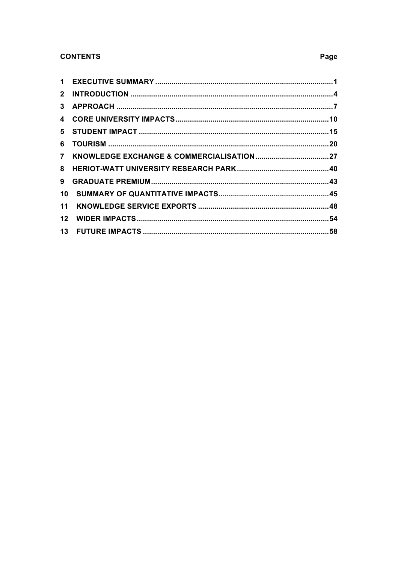### **CONTENTS**

| 8  |  |
|----|--|
| 9  |  |
|    |  |
| 11 |  |
|    |  |
|    |  |

# Page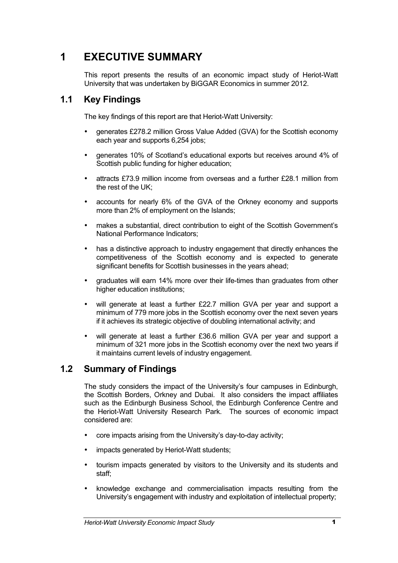# **1 EXECUTIVE SUMMARY**

This report presents the results of an economic impact study of Heriot-Watt University that was undertaken by BiGGAR Economics in summer 2012.

# **1.1 Key Findings**

The key findings of this report are that Heriot-Watt University:

- generates £278.2 million Gross Value Added (GVA) for the Scottish economy each year and supports 6,254 jobs;
- generates 10% of Scotland's educational exports but receives around 4% of Scottish public funding for higher education:
- attracts £73.9 million income from overseas and a further £28.1 million from the rest of the UK;
- accounts for nearly 6% of the GVA of the Orkney economy and supports more than 2% of employment on the Islands;
- makes a substantial, direct contribution to eight of the Scottish Government's National Performance Indicators;
- has a distinctive approach to industry engagement that directly enhances the competitiveness of the Scottish economy and is expected to generate significant benefits for Scottish businesses in the years ahead;
- graduates will earn 14% more over their life-times than graduates from other higher education institutions;
- will generate at least a further £22.7 million GVA per year and support a minimum of 779 more jobs in the Scottish economy over the next seven years if it achieves its strategic objective of doubling international activity; and
- will generate at least a further £36.6 million GVA per year and support a minimum of 321 more jobs in the Scottish economy over the next two years if it maintains current levels of industry engagement.

# **1.2 Summary of Findings**

The study considers the impact of the University's four campuses in Edinburgh, the Scottish Borders, Orkney and Dubai. It also considers the impact affiliates such as the Edinburgh Business School, the Edinburgh Conference Centre and the Heriot-Watt University Research Park. The sources of economic impact considered are:

- core impacts arising from the University's day-to-day activity;
- impacts generated by Heriot-Watt students;
- tourism impacts generated by visitors to the University and its students and staff;
- knowledge exchange and commercialisation impacts resulting from the University's engagement with industry and exploitation of intellectual property;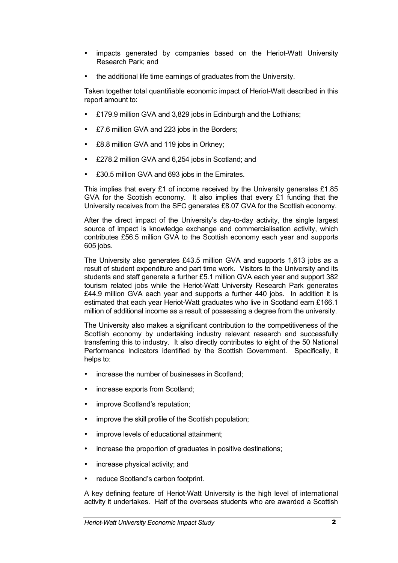- impacts generated by companies based on the Heriot-Watt University Research Park; and
- the additional life time earnings of graduates from the University.

Taken together total quantifiable economic impact of Heriot-Watt described in this report amount to:

- £179.9 million GVA and 3,829 jobs in Edinburgh and the Lothians;
- £7.6 million GVA and 223 jobs in the Borders;
- £8.8 million GVA and 119 jobs in Orkney;
- £278.2 million GVA and 6,254 jobs in Scotland; and
- £30.5 million GVA and 693 jobs in the Emirates.

This implies that every £1 of income received by the University generates £1.85 GVA for the Scottish economy. It also implies that every £1 funding that the University receives from the SFC generates £8.07 GVA for the Scottish economy.

After the direct impact of the University's day-to-day activity, the single largest source of impact is knowledge exchange and commercialisation activity, which contributes £56.5 million GVA to the Scottish economy each year and supports 605 jobs.

The University also generates £43.5 million GVA and supports 1,613 jobs as a result of student expenditure and part time work. Visitors to the University and its students and staff generate a further £5.1 million GVA each year and support 382 tourism related jobs while the Heriot-Watt University Research Park generates £44.9 million GVA each year and supports a further 440 jobs. In addition it is estimated that each year Heriot-Watt graduates who live in Scotland earn £166.1 million of additional income as a result of possessing a degree from the university.

The University also makes a significant contribution to the competitiveness of the Scottish economy by undertaking industry relevant research and successfully transferring this to industry. It also directly contributes to eight of the 50 National Performance Indicators identified by the Scottish Government. Specifically, it helps to:

- increase the number of businesses in Scotland:
- increase exports from Scotland;
- improve Scotland's reputation;
- improve the skill profile of the Scottish population;
- improve levels of educational attainment;
- increase the proportion of graduates in positive destinations;
- increase physical activity; and
- reduce Scotland's carbon footprint.

A key defining feature of Heriot-Watt University is the high level of international activity it undertakes. Half of the overseas students who are awarded a Scottish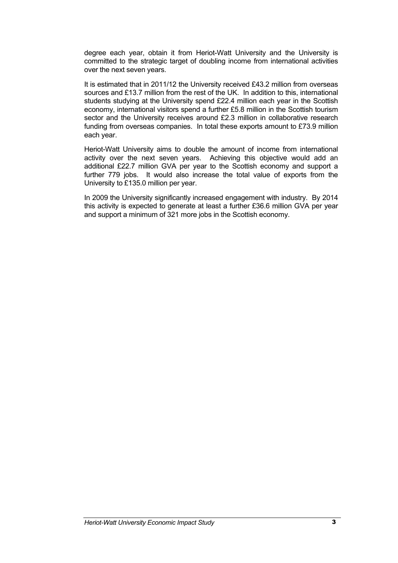degree each year, obtain it from Heriot-Watt University and the University is committed to the strategic target of doubling income from international activities over the next seven years.

It is estimated that in 2011/12 the University received £43.2 million from overseas sources and £13.7 million from the rest of the UK. In addition to this, international students studying at the University spend £22.4 million each year in the Scottish economy, international visitors spend a further £5.8 million in the Scottish tourism sector and the University receives around £2.3 million in collaborative research funding from overseas companies. In total these exports amount to £73.9 million each year.

Heriot-Watt University aims to double the amount of income from international activity over the next seven years. Achieving this objective would add an additional £22.7 million GVA per year to the Scottish economy and support a further 779 jobs. It would also increase the total value of exports from the University to £135.0 million per year.

In 2009 the University significantly increased engagement with industry. By 2014 this activity is expected to generate at least a further £36.6 million GVA per year and support a minimum of 321 more jobs in the Scottish economy.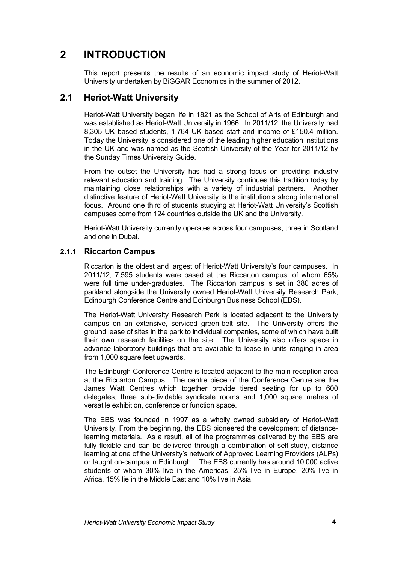# **2 INTRODUCTION**

This report presents the results of an economic impact study of Heriot-Watt University undertaken by BiGGAR Economics in the summer of 2012.

# **2.1 Heriot-Watt University**

Heriot-Watt University began life in 1821 as the School of Arts of Edinburgh and was established as Heriot-Watt University in 1966. In 2011/12, the University had 8,305 UK based students, 1,764 UK based staff and income of £150.4 million. Today the University is considered one of the leading higher education institutions in the UK and was named as the Scottish University of the Year for 2011/12 by the Sunday Times University Guide.

From the outset the University has had a strong focus on providing industry relevant education and training. The University continues this tradition today by maintaining close relationships with a variety of industrial partners. Another distinctive feature of Heriot-Watt University is the institution's strong international focus. Around one third of students studying at Heriot-Watt University's Scottish campuses come from 124 countries outside the UK and the University.

Heriot-Watt University currently operates across four campuses, three in Scotland and one in Dubai.

#### **2.1.1 Riccarton Campus**

Riccarton is the oldest and largest of Heriot-Watt University's four campuses. In 2011/12, 7,595 students were based at the Riccarton campus, of whom 65% were full time under-graduates. The Riccarton campus is set in 380 acres of parkland alongside the University owned Heriot-Watt University Research Park, Edinburgh Conference Centre and Edinburgh Business School (EBS).

The Heriot-Watt University Research Park is located adjacent to the University campus on an extensive, serviced green-belt site. The University offers the ground lease of sites in the park to individual companies, some of which have built their own research facilities on the site. The University also offers space in advance laboratory buildings that are available to lease in units ranging in area from 1,000 square feet upwards.

The Edinburgh Conference Centre is located adjacent to the main reception area at the Riccarton Campus. The centre piece of the Conference Centre are the James Watt Centres which together provide tiered seating for up to 600 delegates, three sub-dividable syndicate rooms and 1,000 square metres of versatile exhibition, conference or function space.

The EBS was founded in 1997 as a wholly owned subsidiary of Heriot-Watt University. From the beginning, the EBS pioneered the development of distancelearning materials. As a result, all of the programmes delivered by the EBS are fully flexible and can be delivered through a combination of self-study, distance learning at one of the University's network of Approved Learning Providers (ALPs) or taught on-campus in Edinburgh. The EBS currently has around 10,000 active students of whom 30% live in the Americas, 25% live in Europe, 20% live in Africa, 15% lie in the Middle East and 10% live in Asia.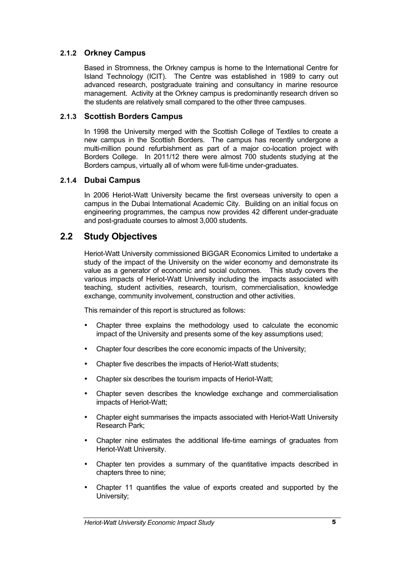#### **2.1.2 Orkney Campus**

Based in Stromness, the Orkney campus is home to the International Centre for Island Technology (ICIT). The Centre was established in 1989 to carry out advanced research, postgraduate training and consultancy in marine resource management. Activity at the Orkney campus is predominantly research driven so the students are relatively small compared to the other three campuses.

#### **2.1.3 Scottish Borders Campus**

In 1998 the University merged with the Scottish College of Textiles to create a new campus in the Scottish Borders. The campus has recently undergone a multi-million pound refurbishment as part of a major co-location project with Borders College. In 2011/12 there were almost 700 students studying at the Borders campus, virtually all of whom were full-time under-graduates.

#### **2.1.4 Dubai Campus**

In 2006 Heriot-Watt University became the first overseas university to open a campus in the Dubai International Academic City. Building on an initial focus on engineering programmes, the campus now provides 42 different under-graduate and post-graduate courses to almost 3,000 students.

# **2.2 Study Objectives**

Heriot-Watt University commissioned BiGGAR Economics Limited to undertake a study of the impact of the University on the wider economy and demonstrate its value as a generator of economic and social outcomes. This study covers the various impacts of Heriot-Watt University including the impacts associated with teaching, student activities, research, tourism, commercialisation, knowledge exchange, community involvement, construction and other activities.

This remainder of this report is structured as follows:

- Chapter three explains the methodology used to calculate the economic impact of the University and presents some of the key assumptions used;
- Chapter four describes the core economic impacts of the University;
- Chapter five describes the impacts of Heriot-Watt students;
- Chapter six describes the tourism impacts of Heriot-Watt;
- Chapter seven describes the knowledge exchange and commercialisation impacts of Heriot-Watt;
- Chapter eight summarises the impacts associated with Heriot-Watt University Research Park;
- Chapter nine estimates the additional life-time earnings of graduates from Heriot-Watt University.
- Chapter ten provides a summary of the quantitative impacts described in chapters three to nine;
- Chapter 11 quantifies the value of exports created and supported by the University;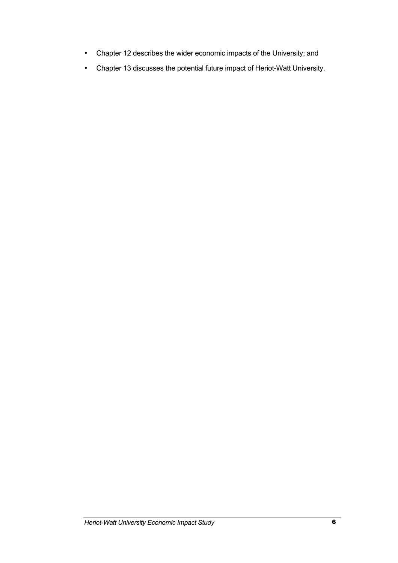- Chapter 12 describes the wider economic impacts of the University; and
- Chapter 13 discusses the potential future impact of Heriot-Watt University.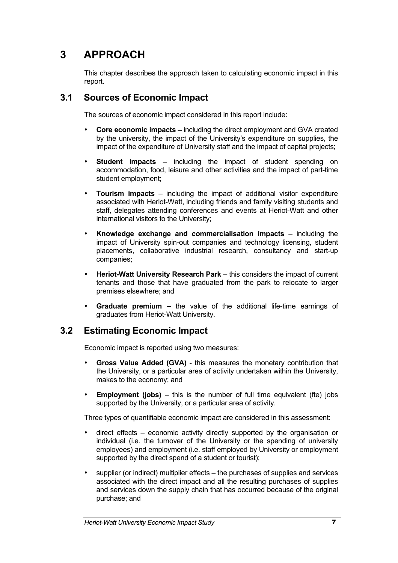# **3 APPROACH**

This chapter describes the approach taken to calculating economic impact in this report.

# **3.1 Sources of Economic Impact**

The sources of economic impact considered in this report include:

- **Core economic impacts –** including the direct employment and GVA created by the university, the impact of the University's expenditure on supplies, the impact of the expenditure of University staff and the impact of capital projects;
- **Student impacts –** including the impact of student spending on accommodation, food, leisure and other activities and the impact of part-time student employment;
- **Tourism impacts**  including the impact of additional visitor expenditure associated with Heriot-Watt, including friends and family visiting students and staff, delegates attending conferences and events at Heriot-Watt and other international visitors to the University;
- **Knowledge exchange and commercialisation impacts**  including the impact of University spin-out companies and technology licensing, student placements, collaborative industrial research, consultancy and start-up companies;
- **Heriot-Watt University Research Park** this considers the impact of current tenants and those that have graduated from the park to relocate to larger premises elsewhere; and
- **Graduate premium –** the value of the additional life-time earnings of graduates from Heriot-Watt University.

# **3.2 Estimating Economic Impact**

Economic impact is reported using two measures:

- **Gross Value Added (GVA)** this measures the monetary contribution that the University, or a particular area of activity undertaken within the University, makes to the economy; and
- **Employment (jobs)** this is the number of full time equivalent (fte) jobs supported by the University, or a particular area of activity.

Three types of quantifiable economic impact are considered in this assessment:

- direct effects economic activity directly supported by the organisation or individual (i.e. the turnover of the University or the spending of university employees) and employment (i.e. staff employed by University or employment supported by the direct spend of a student or tourist);
- supplier (or indirect) multiplier effects the purchases of supplies and services associated with the direct impact and all the resulting purchases of supplies and services down the supply chain that has occurred because of the original purchase; and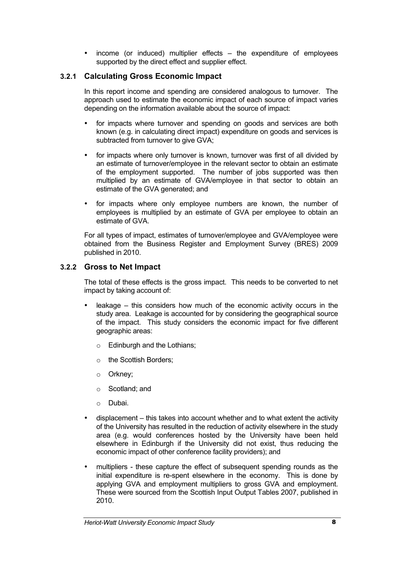• income (or induced) multiplier effects – the expenditure of employees supported by the direct effect and supplier effect.

#### **3.2.1 Calculating Gross Economic Impact**

In this report income and spending are considered analogous to turnover. The approach used to estimate the economic impact of each source of impact varies depending on the information available about the source of impact:

- for impacts where turnover and spending on goods and services are both known (e.g. in calculating direct impact) expenditure on goods and services is subtracted from turnover to give GVA;
- for impacts where only turnover is known, turnover was first of all divided by an estimate of turnover/employee in the relevant sector to obtain an estimate of the employment supported. The number of jobs supported was then multiplied by an estimate of GVA/employee in that sector to obtain an estimate of the GVA generated; and
- for impacts where only employee numbers are known, the number of employees is multiplied by an estimate of GVA per employee to obtain an estimate of GVA.

For all types of impact, estimates of turnover/employee and GVA/employee were obtained from the Business Register and Employment Survey (BRES) 2009 published in 2010.

#### **3.2.2 Gross to Net Impact**

The total of these effects is the gross impact. This needs to be converted to net impact by taking account of:

- $\theta$  leakage this considers how much of the economic activity occurs in the study area. Leakage is accounted for by considering the geographical source of the impact. This study considers the economic impact for five different geographic areas:
	- o Edinburgh and the Lothians;
	- o the Scottish Borders;
	- o Orkney;
	- o Scotland; and
	- o Dubai.
- displacement this takes into account whether and to what extent the activity of the University has resulted in the reduction of activity elsewhere in the study area (e.g. would conferences hosted by the University have been held elsewhere in Edinburgh if the University did not exist, thus reducing the economic impact of other conference facility providers); and
- multipliers these capture the effect of subsequent spending rounds as the initial expenditure is re-spent elsewhere in the economy. This is done by applying GVA and employment multipliers to gross GVA and employment. These were sourced from the Scottish Input Output Tables 2007, published in 2010.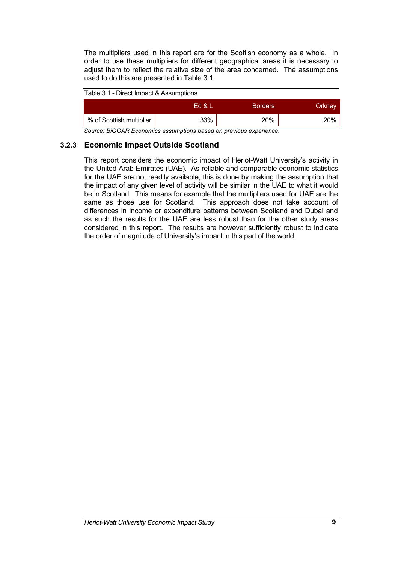The multipliers used in this report are for the Scottish economy as a whole. In order to use these multipliers for different geographical areas it is necessary to adjust them to reflect the relative size of the area concerned. The assumptions used to do this are presented in Table 3.1.

#### Table 3.1 - Direct Impact & Assumptions

|                          | Ed & L | <b>Borders</b> | Orkney |
|--------------------------|--------|----------------|--------|
| % of Scottish multiplier | 33%    | 20%            | 20%    |

*Source: BiGGAR Economics assumptions based on previous experience.*

#### **3.2.3 Economic Impact Outside Scotland**

This report considers the economic impact of Heriot-Watt University's activity in the United Arab Emirates (UAE). As reliable and comparable economic statistics for the UAE are not readily available, this is done by making the assumption that the impact of any given level of activity will be similar in the UAE to what it would be in Scotland. This means for example that the multipliers used for UAE are the same as those use for Scotland. This approach does not take account of differences in income or expenditure patterns between Scotland and Dubai and as such the results for the UAE are less robust than for the other study areas considered in this report. The results are however sufficiently robust to indicate the order of magnitude of University's impact in this part of the world.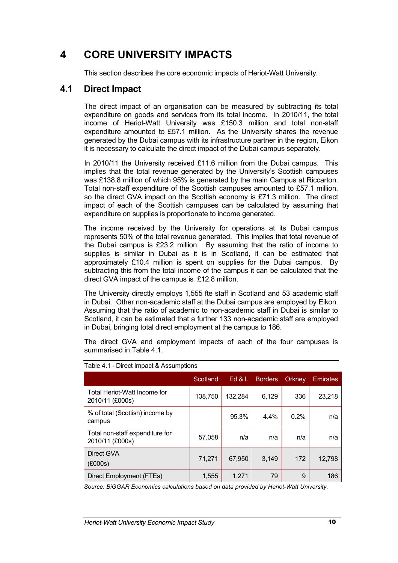# **4 CORE UNIVERSITY IMPACTS**

This section describes the core economic impacts of Heriot-Watt University.

### **4.1 Direct Impact**

The direct impact of an organisation can be measured by subtracting its total expenditure on goods and services from its total income. In 2010/11, the total income of Heriot-Watt University was £150.3 million and total non-staff expenditure amounted to £57.1 million. As the University shares the revenue generated by the Dubai campus with its infrastructure partner in the region, Eikon it is necessary to calculate the direct impact of the Dubai campus separately.

In 2010/11 the University received £11.6 million from the Dubai campus. This implies that the total revenue generated by the University's Scottish campuses was £138.8 million of which 95% is generated by the main Campus at Riccarton. Total non-staff expenditure of the Scottish campuses amounted to £57.1 million. so the direct GVA impact on the Scottish economy is £71.3 million. The direct impact of each of the Scottish campuses can be calculated by assuming that expenditure on supplies is proportionate to income generated.

The income received by the University for operations at its Dubai campus represents 50% of the total revenue generated. This implies that total revenue of the Dubai campus is £23.2 million. By assuming that the ratio of income to supplies is similar in Dubai as it is in Scotland, it can be estimated that approximately £10.4 million is spent on supplies for the Dubai campus. By subtracting this from the total income of the campus it can be calculated that the direct GVA impact of the campus is £12.8 million.

The University directly employs 1,555 fte staff in Scotland and 53 academic staff in Dubai. Other non-academic staff at the Dubai campus are employed by Eikon. Assuming that the ratio of academic to non-academic staff in Dubai is similar to Scotland, it can be estimated that a further 133 non-academic staff are employed in Dubai, bringing total direct employment at the campus to 186.

The direct GVA and employment impacts of each of the four campuses is summarised in Table 4.1.

|                                                    | Scotland | Ed $&$ L | <b>Borders</b> | Orkney | <b>Emirates</b> |
|----------------------------------------------------|----------|----------|----------------|--------|-----------------|
| Total Heriot-Watt Income for<br>2010/11 (£000s)    | 138,750  | 132,284  | 6,129          | 336    | 23,218          |
| % of total (Scottish) income by<br>campus          |          | 95.3%    | 4.4%           | 0.2%   | n/a             |
| Total non-staff expenditure for<br>2010/11 (£000s) | 57,058   | n/a      | n/a            | n/a    | n/a             |
| Direct GVA<br>(E000s)                              | 71,271   | 67,950   | 3,149          | 172    | 12,798          |
| Direct Employment (FTEs)                           | 1,555    | 1,271    | 79             | 9      | 186             |

#### Table 4.1 - Direct Impact & Assumptions

*Source: BiGGAR Economics calculations based on data provided by Heriot-Watt University.*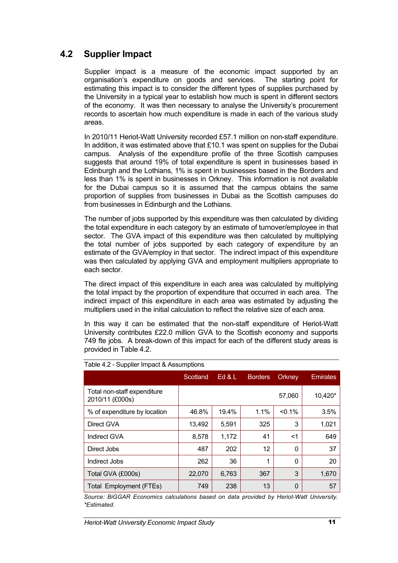# **4.2 Supplier Impact**

Supplier impact is a measure of the economic impact supported by an organisation's expenditure on goods and services. The starting point for estimating this impact is to consider the different types of supplies purchased by the University in a typical year to establish how much is spent in different sectors of the economy. It was then necessary to analyse the University's procurement records to ascertain how much expenditure is made in each of the various study areas.

In 2010/11 Heriot-Watt University recorded £57.1 million on non-staff expenditure. In addition, it was estimated above that £10.1 was spent on supplies for the Dubai campus. Analysis of the expenditure profile of the three Scottish campuses suggests that around 19% of total expenditure is spent in businesses based in Edinburgh and the Lothians, 1% is spent in businesses based in the Borders and less than 1% is spent in businesses in Orkney. This information is not available for the Dubai campus so it is assumed that the campus obtains the same proportion of supplies from businesses in Dubai as the Scottish campuses do from businesses in Edinburgh and the Lothians.

The number of jobs supported by this expenditure was then calculated by dividing the total expenditure in each category by an estimate of turnover/employee in that sector. The GVA impact of this expenditure was then calculated by multiplying the total number of jobs supported by each category of expenditure by an estimate of the GVA/employ in that sector. The indirect impact of this expenditure was then calculated by applying GVA and employment multipliers appropriate to each sector.

The direct impact of this expenditure in each area was calculated by multiplying the total impact by the proportion of expenditure that occurred in each area. The indirect impact of this expenditure in each area was estimated by adjusting the multipliers used in the initial calculation to reflect the relative size of each area.

In this way it can be estimated that the non-staff expenditure of Heriot-Watt University contributes £22.0 million GVA to the Scottish economy and supports 749 fte jobs. A break-down of this impact for each of the different study areas is provided in Table 4.2.

|                                                | Scotland | Ed $&$ L | <b>Borders</b> | Orkney    | <b>Emirates</b> |
|------------------------------------------------|----------|----------|----------------|-----------|-----------------|
| Total non-staff expenditure<br>2010/11 (£000s) |          |          |                | 57,060    | 10,420*         |
| % of expenditure by location                   | 46.8%    | 19.4%    | 1.1%           | $< 0.1\%$ | 3.5%            |
| Direct GVA                                     | 13,492   | 5,591    | 325            | 3         | 1,021           |
| Indirect GVA                                   | 8,578    | 1,172    | 41             | $<$ 1     | 649             |
| Direct Jobs                                    | 487      | 202      | 12             | 0         | 37              |
| Indirect Jobs                                  | 262      | 36       | 1              | 0         | 20              |
| Total GVA (£000s)                              | 22,070   | 6,763    | 367            | 3         | 1,670           |
| Total Employment (FTEs)                        | 749      | 238      | 13             | 0         | 57              |

#### Table 4.2 - Supplier Impact & Assumptions

*Source: BiGGAR Economics calculations based on data provided by Heriot-Watt University. \*Estimated.*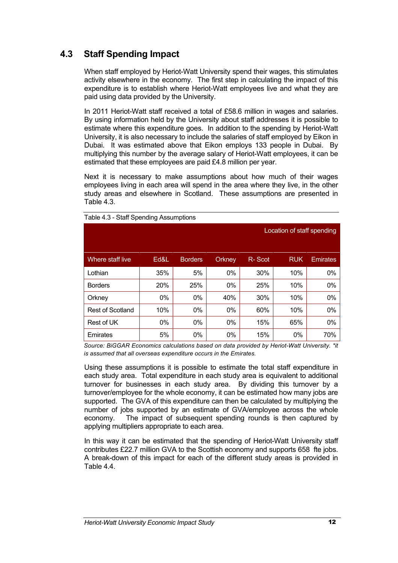# **4.3 Staff Spending Impact**

When staff employed by Heriot-Watt University spend their wages, this stimulates activity elsewhere in the economy. The first step in calculating the impact of this expenditure is to establish where Heriot-Watt employees live and what they are paid using data provided by the University.

In 2011 Heriot-Watt staff received a total of £58.6 million in wages and salaries. By using information held by the University about staff addresses it is possible to estimate where this expenditure goes. In addition to the spending by Heriot-Watt University, it is also necessary to include the salaries of staff employed by Eikon in Dubai. It was estimated above that Eikon employs 133 people in Dubai. By multiplying this number by the average salary of Heriot-Watt employees, it can be estimated that these employees are paid £4.8 million per year.

Next it is necessary to make assumptions about how much of their wages employees living in each area will spend in the area where they live, in the other study areas and elsewhere in Scotland. These assumptions are presented in Table 4.3.

|                  |      |                |        |        | Location of staff spending |                 |
|------------------|------|----------------|--------|--------|----------------------------|-----------------|
| Where staff live | Ed&L | <b>Borders</b> | Orkney | R-Scot | <b>RUK</b>                 | <b>Emirates</b> |
| Lothian          | 35%  | 5%             | $0\%$  | 30%    | 10%                        | $0\%$           |
| <b>Borders</b>   | 20%  | 25%            | 0%     | 25%    | 10%                        | 0%              |
| Orkney           | 0%   | 0%             | 40%    | 30%    | 10%                        | 0%              |
| Rest of Scotland | 10%  | 0%             | 0%     | 60%    | 10%                        | 0%              |
| Rest of UK       | 0%   | 0%             | 0%     | 15%    | 65%                        | 0%              |
| Emirates         | 5%   | 0%             | 0%     | 15%    | 0%                         | 70%             |

Table 4.3 - Staff Spending Assumptions

*Source: BiGGAR Economics calculations based on data provided by Heriot-Watt University. \*it is assumed that all overseas expenditure occurs in the Emirates.*

Using these assumptions it is possible to estimate the total staff expenditure in each study area. Total expenditure in each study area is equivalent to additional turnover for businesses in each study area. By dividing this turnover by a turnover/employee for the whole economy, it can be estimated how many jobs are supported. The GVA of this expenditure can then be calculated by multiplying the number of jobs supported by an estimate of GVA/employee across the whole economy. The impact of subsequent spending rounds is then captured by applying multipliers appropriate to each area.

In this way it can be estimated that the spending of Heriot-Watt University staff contributes £22.7 million GVA to the Scottish economy and supports 658 fte jobs. A break-down of this impact for each of the different study areas is provided in Table 4.4.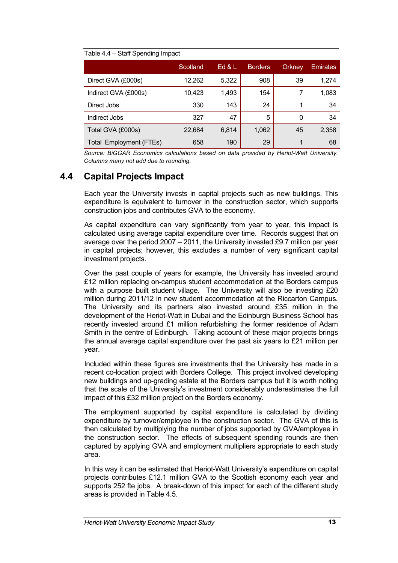#### Table 4.4 – Staff Spending Impact

|                                | Scotland | Ed & L | <b>Borders</b> | <b>Orkney</b> | <b>Emirates</b> |
|--------------------------------|----------|--------|----------------|---------------|-----------------|
| Direct GVA (£000s)             | 12,262   | 5,322  | 908            | 39            | 1,274           |
| Indirect GVA (£000s)           | 10,423   | 1,493  | 154            |               | 1,083           |
| Direct Jobs                    | 330      | 143    | 24             |               | 34              |
| Indirect Jobs                  | 327      | 47     | 5              | 0             | 34              |
| Total GVA (£000s)              | 22,684   | 6,814  | 1,062          | 45            | 2,358           |
| <b>Total Employment (FTEs)</b> | 658      | 190    | 29             |               | 68              |

*Source: BiGGAR Economics calculations based on data provided by Heriot-Watt University. Columns many not add due to rounding.*

# **4.4 Capital Projects Impact**

Each year the University invests in capital projects such as new buildings. This expenditure is equivalent to turnover in the construction sector, which supports construction jobs and contributes GVA to the economy.

As capital expenditure can vary significantly from year to year, this impact is calculated using average capital expenditure over time. Records suggest that on average over the period 2007 – 2011, the University invested £9.7 million per year in capital projects; however, this excludes a number of very significant capital investment projects.

Over the past couple of years for example, the University has invested around £12 million replacing on-campus student accommodation at the Borders campus with a purpose built student village. The University will also be investing £20 million during 2011/12 in new student accommodation at the Riccarton Campus. The University and its partners also invested around £35 million in the development of the Heriot-Watt in Dubai and the Edinburgh Business School has recently invested around £1 million refurbishing the former residence of Adam Smith in the centre of Edinburgh. Taking account of these major projects brings the annual average capital expenditure over the past six years to £21 million per year.

Included within these figures are investments that the University has made in a recent co-location project with Borders College. This project involved developing new buildings and up-grading estate at the Borders campus but it is worth noting that the scale of the University's investment considerably underestimates the full impact of this £32 million project on the Borders economy.

The employment supported by capital expenditure is calculated by dividing expenditure by turnover/employee in the construction sector. The GVA of this is then calculated by multiplying the number of jobs supported by GVA/employee in the construction sector. The effects of subsequent spending rounds are then captured by applying GVA and employment multipliers appropriate to each study area.

In this way it can be estimated that Heriot-Watt University's expenditure on capital projects contributes £12.1 million GVA to the Scottish economy each year and supports 252 fte jobs. A break-down of this impact for each of the different study areas is provided in Table 4.5.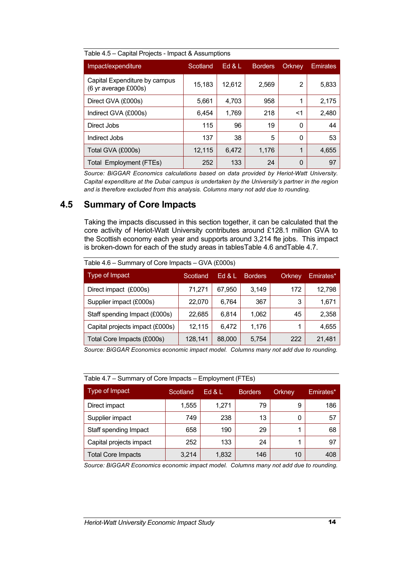| Impact/expenditure                                    | Scotland | Ed 8L  | <b>Borders</b> | Orkney         | Emirates |
|-------------------------------------------------------|----------|--------|----------------|----------------|----------|
| Capital Expenditure by campus<br>(6 yr average £000s) | 15,183   | 12,612 | 2,569          | $\overline{2}$ | 5,833    |
| Direct GVA (£000s)                                    | 5,661    | 4,703  | 958            | 1              | 2,175    |
| Indirect GVA (£000s)                                  | 6,454    | 1,769  | 218            | <1             | 2,480    |
| Direct Jobs                                           | 115      | 96     | 19             | 0              | 44       |
| Indirect Jobs                                         | 137      | 38     | 5              | $\Omega$       | 53       |
| Total GVA (£000s)                                     | 12,115   | 6,472  | 1,176          | 1              | 4,655    |
| Total Employment (FTEs)                               | 252      | 133    | 24             | 0              | 97       |

Table 4.5 – Capital Projects - Impact & Assumptions

*Source: BiGGAR Economics calculations based on data provided by Heriot-Watt University. Capital expenditure at the Dubai campus is undertaken by the University's partner in the region and is therefore excluded from this analysis. Columns many not add due to rounding.*

# **4.5 Summary of Core Impacts**

Taking the impacts discussed in this section together, it can be calculated that the core activity of Heriot-Watt University contributes around £128.1 million GVA to the Scottish economy each year and supports around 3,214 fte jobs. This impact is broken-down for each of the study areas in tablesTable 4.6 andTable 4.7.

| Type of Impact                  | Scotland | Ed $&L$ | <b>Borders</b> | Orkney | Emirates* |
|---------------------------------|----------|---------|----------------|--------|-----------|
| Direct impact (£000s)           | 71,271   | 67,950  | 3,149          | 172    | 12,798    |
| Supplier impact (£000s)         | 22,070   | 6,764   | 367            | 3      | 1,671     |
| Staff spending Impact (£000s)   | 22.685   | 6,814   | 1,062          | 45     | 2,358     |
| Capital projects impact (£000s) | 12,115   | 6,472   | 1,176          |        | 4,655     |
| Total Core Impacts (£000s)      | 128,141  | 88,000  | 5,754          | 222    | 21,481    |

Table 4.6 – Summary of Core Impacts – GVA (£000s)

*Source: BiGGAR Economics economic impact model. Columns many not add due to rounding.*

| Table 4.7 – Summary of Core Impacts – Employment (FTES) |           |       |                |        |           |  |
|---------------------------------------------------------|-----------|-------|----------------|--------|-----------|--|
| Type of Impact                                          | Scotland. | Ed 8L | <b>Borders</b> | Orkney | Emirates* |  |
| Direct impact                                           | 1,555     | 1,271 | 79             | 9      | 186       |  |
| Supplier impact                                         | 749       | 238   | 13             | 0      | 57        |  |
| Staff spending Impact                                   | 658       | 190   | 29             |        | 68        |  |
| Capital projects impact                                 | 252       | 133   | 24             |        | 97        |  |
| <b>Total Core Impacts</b>                               | 3,214     | 1,832 | 146            | 10     | 408       |  |

| Table 4.7 - Summary of Core Impacts - Employment (FTEs) |  |  |
|---------------------------------------------------------|--|--|
|                                                         |  |  |
|                                                         |  |  |

*Source: BiGGAR Economics economic impact model. Columns many not add due to rounding.*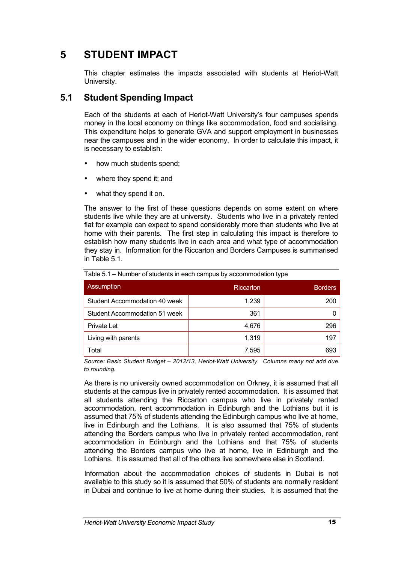# **5 STUDENT IMPACT**

This chapter estimates the impacts associated with students at Heriot-Watt University.

# **5.1 Student Spending Impact**

Each of the students at each of Heriot-Watt University's four campuses spends money in the local economy on things like accommodation, food and socialising. This expenditure helps to generate GVA and support employment in businesses near the campuses and in the wider economy. In order to calculate this impact, it is necessary to establish:

- how much students spend;
- where they spend it; and
- what they spend it on.

The answer to the first of these questions depends on some extent on where students live while they are at university. Students who live in a privately rented flat for example can expect to spend considerably more than students who live at home with their parents. The first step in calculating this impact is therefore to establish how many students live in each area and what type of accommodation they stay in. Information for the Riccarton and Borders Campuses is summarised in Table 5.1.

| Assumption                    | Riccarton | <b>Borders</b> |
|-------------------------------|-----------|----------------|
| Student Accommodation 40 week | 1,239     | 200            |
| Student Accommodation 51 week | 361       |                |
| <b>Private Let</b>            | 4,676     | 296            |
| Living with parents           | 1.319     | 197            |
| Total                         | 7,595     | 693            |

Table 5.1 – Number of students in each campus by accommodation type

*Source: Basic Student Budget – 2012/13, Heriot-Watt University. Columns many not add due to rounding.*

As there is no university owned accommodation on Orkney, it is assumed that all students at the campus live in privately rented accommodation. It is assumed that all students attending the Riccarton campus who live in privately rented accommodation, rent accommodation in Edinburgh and the Lothians but it is assumed that 75% of students attending the Edinburgh campus who live at home, live in Edinburgh and the Lothians. It is also assumed that 75% of students attending the Borders campus who live in privately rented accommodation, rent accommodation in Edinburgh and the Lothians and that 75% of students attending the Borders campus who live at home, live in Edinburgh and the Lothians. It is assumed that all of the others live somewhere else in Scotland.

Information about the accommodation choices of students in Dubai is not available to this study so it is assumed that 50% of students are normally resident in Dubai and continue to live at home during their studies. It is assumed that the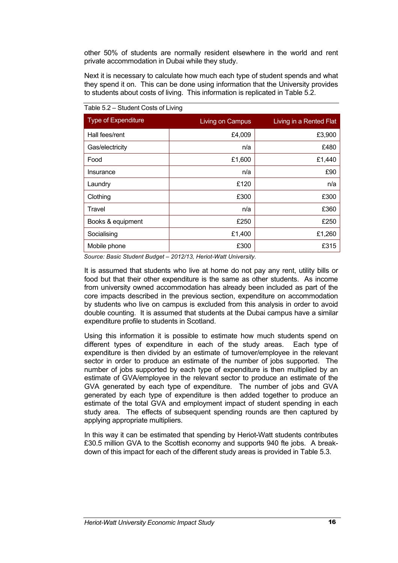other 50% of students are normally resident elsewhere in the world and rent private accommodation in Dubai while they study.

Next it is necessary to calculate how much each type of student spends and what they spend it on. This can be done using information that the University provides to students about costs of living. This information is replicated in Table 5.2.

| <b>Type of Expenditure</b> | Living on Campus | Living in a Rented Flat |
|----------------------------|------------------|-------------------------|
| Hall fees/rent             | £4,009           | £3,900                  |
| Gas/electricity            | n/a              | £480                    |
| Food                       | £1,600           | £1,440                  |
| Insurance                  | n/a              | £90                     |
| Laundry                    | £120             | n/a                     |
| Clothing                   | £300             | £300                    |
| Travel                     | n/a              | £360                    |
| Books & equipment          | £250             | £250                    |
| Socialising                | £1,400           | £1,260                  |
| Mobile phone               | £300             | £315                    |

Table 5.2 – Student Costs of Living

*Source: Basic Student Budget – 2012/13, Heriot-Watt University.* 

It is assumed that students who live at home do not pay any rent, utility bills or food but that their other expenditure is the same as other students. As income from university owned accommodation has already been included as part of the core impacts described in the previous section, expenditure on accommodation by students who live on campus is excluded from this analysis in order to avoid double counting. It is assumed that students at the Dubai campus have a similar expenditure profile to students in Scotland.

Using this information it is possible to estimate how much students spend on different types of expenditure in each of the study areas. Each type of expenditure is then divided by an estimate of turnover/employee in the relevant sector in order to produce an estimate of the number of jobs supported. The number of jobs supported by each type of expenditure is then multiplied by an estimate of GVA/employee in the relevant sector to produce an estimate of the GVA generated by each type of expenditure. The number of jobs and GVA generated by each type of expenditure is then added together to produce an estimate of the total GVA and employment impact of student spending in each study area. The effects of subsequent spending rounds are then captured by applying appropriate multipliers.

In this way it can be estimated that spending by Heriot-Watt students contributes £30.5 million GVA to the Scottish economy and supports 940 fte jobs. A breakdown of this impact for each of the different study areas is provided in Table 5.3.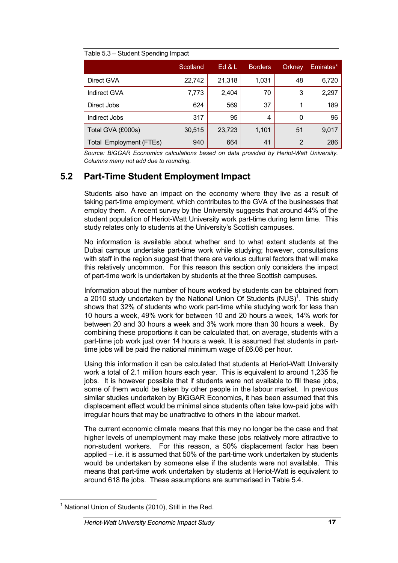|                                | Scotland | Ed 8L  | <b>Borders</b> | Orkney | Emirates* |
|--------------------------------|----------|--------|----------------|--------|-----------|
| Direct GVA                     | 22,742   | 21,318 | 1,031          | 48     | 6,720     |
| Indirect GVA                   | 7,773    | 2,404  | 70             | 3      | 2,297     |
| Direct Jobs                    | 624      | 569    | 37             | 1      | 189       |
| Indirect Jobs                  | 317      | 95     | 4              | 0      | 96        |
| Total GVA (£000s)              | 30,515   | 23,723 | 1,101          | 51     | 9,017     |
| <b>Total Employment (FTEs)</b> | 940      | 664    | 41             | 2      | 286       |

*Source: BiGGAR Economics calculations based on data provided by Heriot-Watt University. Columns many not add due to rounding.*

# **5.2 Part-Time Student Employment Impact**

Students also have an impact on the economy where they live as a result of taking part-time employment, which contributes to the GVA of the businesses that employ them. A recent survey by the University suggests that around 44% of the student population of Heriot-Watt University work part-time during term time. This study relates only to students at the University's Scottish campuses.

No information is available about whether and to what extent students at the Dubai campus undertake part-time work while studying; however, consultations with staff in the region suggest that there are various cultural factors that will make this relatively uncommon. For this reason this section only considers the impact of part-time work is undertaken by students at the three Scottish campuses.

Information about the number of hours worked by students can be obtained from a 2010 study undertaken by the National Union Of Students  $(NUS)^1$ . This study shows that 32% of students who work part-time while studying work for less than 10 hours a week, 49% work for between 10 and 20 hours a week, 14% work for between 20 and 30 hours a week and 3% work more than 30 hours a week. By combining these proportions it can be calculated that, on average, students with a part-time job work just over 14 hours a week. It is assumed that students in parttime jobs will be paid the national minimum wage of £6.08 per hour.

Using this information it can be calculated that students at Heriot-Watt University work a total of 2.1 million hours each year. This is equivalent to around 1,235 fte jobs. It is however possible that if students were not available to fill these jobs, some of them would be taken by other people in the labour market. In previous similar studies undertaken by BiGGAR Economics, it has been assumed that this displacement effect would be minimal since students often take low-paid jobs with irregular hours that may be unattractive to others in the labour market.

The current economic climate means that this may no longer be the case and that higher levels of unemployment may make these jobs relatively more attractive to non-student workers. For this reason, a 50% displacement factor has been applied – i.e. it is assumed that 50% of the part-time work undertaken by students would be undertaken by someone else if the students were not available. This means that part-time work undertaken by students at Heriot-Watt is equivalent to around 618 fte jobs. These assumptions are summarised in Table 5.4.

 $1$  National Union of Students (2010), Still in the Red.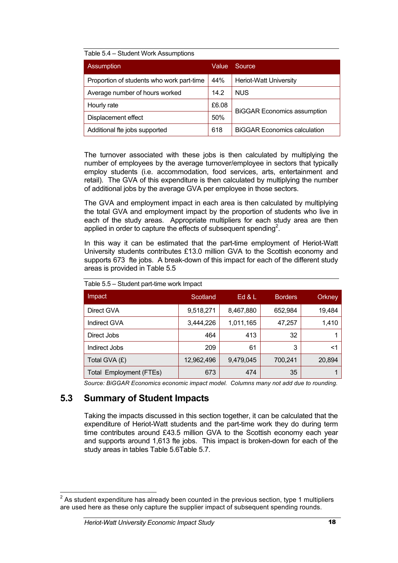#### Table 5.4 – Student Work Assumptions

| Assumption                                | <b>Value</b> | Source                              |
|-------------------------------------------|--------------|-------------------------------------|
| Proportion of students who work part-time | 44%          | <b>Heriot-Watt University</b>       |
| Average number of hours worked            | 14.2         | <b>NUS</b>                          |
| Hourly rate                               | £6.08        | <b>BiGGAR Economics assumption</b>  |
| Displacement effect                       | 50%          |                                     |
| Additional fte jobs supported             | 618          | <b>BIGGAR Economics calculation</b> |

The turnover associated with these jobs is then calculated by multiplying the number of employees by the average turnover/employee in sectors that typically employ students (i.e. accommodation, food services, arts, entertainment and retail). The GVA of this expenditure is then calculated by multiplying the number of additional jobs by the average GVA per employee in those sectors.

The GVA and employment impact in each area is then calculated by multiplying the total GVA and employment impact by the proportion of students who live in each of the study areas. Appropriate multipliers for each study area are then applied in order to capture the effects of subsequent spending<sup>2</sup>.

In this way it can be estimated that the part-time employment of Heriot-Watt University students contributes £13.0 million GVA to the Scottish economy and supports 673 fte jobs. A break-down of this impact for each of the different study areas is provided in Table 5.5

| Impact                         | Scotland   | Ed $&$ L  | <b>Borders</b> | Orkney |
|--------------------------------|------------|-----------|----------------|--------|
| Direct GVA                     | 9,518,271  | 8,467,880 | 652,984        | 19,484 |
| Indirect GVA                   | 3,444,226  | 1,011,165 | 47,257         | 1,410  |
| Direct Jobs                    | 464        | 413       | 32             |        |
| Indirect Jobs                  | 209        | 61        | 3              | <1     |
| Total GVA (£)                  | 12,962,496 | 9,479,045 | 700,241        | 20,894 |
| <b>Total Employment (FTEs)</b> | 673        | 474       | 35             |        |

Table 5.5 – Student part-time work Impact

*Source: BiGGAR Economics economic impact model. Columns many not add due to rounding.*

# **5.3 Summary of Student Impacts**

Taking the impacts discussed in this section together, it can be calculated that the expenditure of Heriot-Watt students and the part-time work they do during term time contributes around £43.5 million GVA to the Scottish economy each year and supports around 1,613 fte jobs. This impact is broken-down for each of the study areas in tables Table 5.6Table 5.7.

 $2$  As student expenditure has already been counted in the previous section, type 1 multipliers are used here as these only capture the supplier impact of subsequent spending rounds.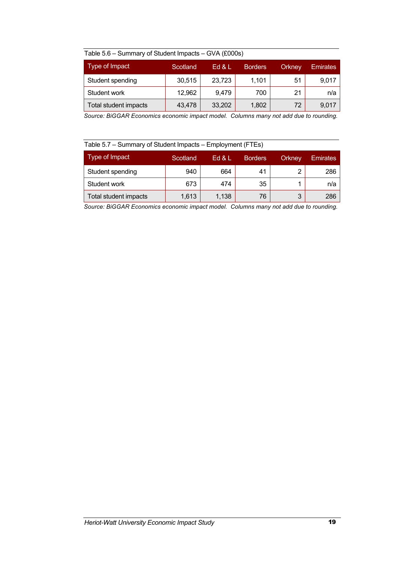| Table 5.6 – Summary of Student Impacts – GVA (£000s) |  |
|------------------------------------------------------|--|
|------------------------------------------------------|--|

| Type of Impact               | Scotland | Ed & L | <b>Borders</b> | Orkney | <b>Emirates</b> |
|------------------------------|----------|--------|----------------|--------|-----------------|
| Student spending             | 30,515   | 23,723 | 1,101          | 51     | 9,017           |
| Student work                 | 12,962   | 9.479  | 700            | 21     | n/a             |
| <b>Total student impacts</b> | 43,478   | 33,202 | 1,802          | 72     | 9.017           |

*Source: BiGGAR Economics economic impact model. Columns many not add due to rounding.*

# Table 5.7 – Summary of Student Impacts – Employment (FTEs)

| Type of Impact        | Scotland | Ed & L | <b>Borders</b> | Orkney | <b>Emirates</b> |
|-----------------------|----------|--------|----------------|--------|-----------------|
| Student spending      | 940      | 664    | 41             |        | 286             |
| Student work          | 673      | 474    | 35             |        | n/a             |
| Total student impacts | 1,613    | 1.138  | 76             | 2      | 286             |

*Source: BiGGAR Economics economic impact model. Columns many not add due to rounding.*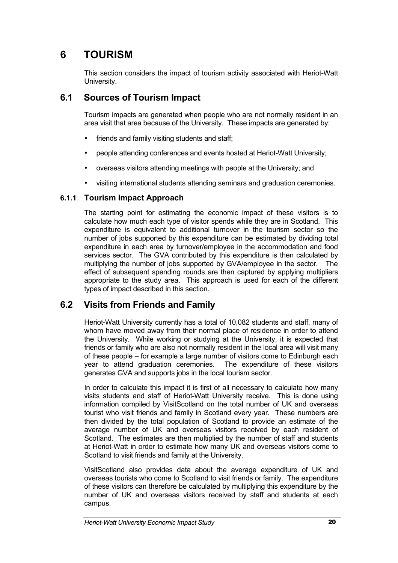# **6 TOURISM**

This section considers the impact of tourism activity associated with Heriot-Watt University.

# **6.1 Sources of Tourism Impact**

Tourism impacts are generated when people who are not normally resident in an area visit that area because of the University. These impacts are generated by:

- friends and family visiting students and staff;
- people attending conferences and events hosted at Heriot-Watt University;
- overseas visitors attending meetings with people at the University; and
- visiting international students attending seminars and graduation ceremonies.

#### **6.1.1 Tourism Impact Approach**

The starting point for estimating the economic impact of these visitors is to calculate how much each type of visitor spends while they are in Scotland. This expenditure is equivalent to additional turnover in the tourism sector so the number of jobs supported by this expenditure can be estimated by dividing total expenditure in each area by turnover/employee in the accommodation and food services sector. The GVA contributed by this expenditure is then calculated by multiplying the number of jobs supported by GVA/employee in the sector. The effect of subsequent spending rounds are then captured by applying multipliers appropriate to the study area. This approach is used for each of the different types of impact described in this section.

# **6.2 Visits from Friends and Family**

Heriot-Watt University currently has a total of 10,082 students and staff, many of whom have moved away from their normal place of residence in order to attend the University. While working or studying at the University, it is expected that friends or family who are also not normally resident in the local area will visit many of these people – for example a large number of visitors come to Edinburgh each year to attend graduation ceremonies. The expenditure of these visitors generates GVA and supports jobs in the local tourism sector.

In order to calculate this impact it is first of all necessary to calculate how many visits students and staff of Heriot-Watt University receive. This is done using information compiled by VisitScotland on the total number of UK and overseas tourist who visit friends and family in Scotland every year. These numbers are then divided by the total population of Scotland to provide an estimate of the average number of UK and overseas visitors received by each resident of Scotland. The estimates are then multiplied by the number of staff and students at Heriot-Watt in order to estimate how many UK and overseas visitors come to Scotland to visit friends and family at the University.

VisitScotland also provides data about the average expenditure of UK and overseas tourists who come to Scotland to visit friends or family. The expenditure of these visitors can therefore be calculated by multiplying this expenditure by the number of UK and overseas visitors received by staff and students at each campus.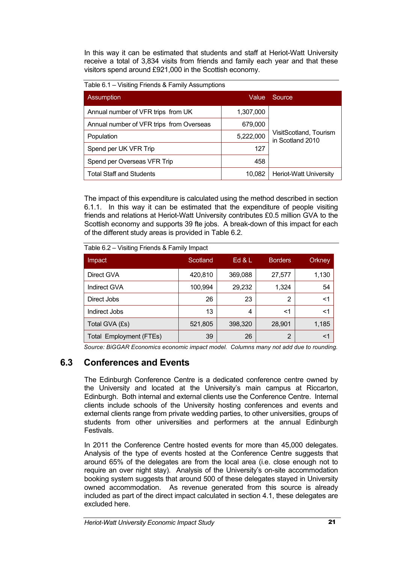In this way it can be estimated that students and staff at Heriot-Watt University receive a total of 3,834 visits from friends and family each year and that these visitors spend around £921,000 in the Scottish economy.

Table 6.1 – Visiting Friends & Family Assumptions

| <b>Assumption</b>                        | Value     | Source                                     |
|------------------------------------------|-----------|--------------------------------------------|
| Annual number of VFR trips from UK       | 1,307,000 |                                            |
| Annual number of VFR trips from Overseas | 679,000   |                                            |
| Population                               | 5,222,000 | VisitScotland, Tourism<br>in Scotland 2010 |
| Spend per UK VFR Trip                    | 127       |                                            |
| Spend per Overseas VFR Trip              | 458       |                                            |
| <b>Total Staff and Students</b>          | 10.082    | <b>Heriot-Watt University</b>              |

The impact of this expenditure is calculated using the method described in section 6.1.1. In this way it can be estimated that the expenditure of people visiting friends and relations at Heriot-Watt University contributes £0.5 million GVA to the Scottish economy and supports 39 fte jobs. A break-down of this impact for each of the different study areas is provided in Table 6.2.

| Impact                         | Scotland | Ed & L  | <b>Borders</b> | Orkney |
|--------------------------------|----------|---------|----------------|--------|
| Direct GVA                     | 420,810  | 369,088 | 27,577         | 1,130  |
| Indirect GVA                   | 100,994  | 29,232  | 1,324          | 54     |
| Direct Jobs                    | 26       | 23      | 2              | <1     |
| Indirect Jobs                  | 13       | 4       | $<$ 1          | <1     |
| Total GVA (£s)                 | 521,805  | 398,320 | 28,901         | 1,185  |
| <b>Total Employment (FTEs)</b> | 39       | 26      | 2              | <1     |

Table 6.2 – Visiting Friends & Family Impact

*Source: BiGGAR Economics economic impact model. Columns many not add due to rounding.*

# **6.3 Conferences and Events**

The Edinburgh Conference Centre is a dedicated conference centre owned by the University and located at the University's main campus at Riccarton, Edinburgh. Both internal and external clients use the Conference Centre. Internal clients include schools of the University hosting conferences and events and external clients range from private wedding parties, to other universities, groups of students from other universities and performers at the annual Edinburgh Festivals.

In 2011 the Conference Centre hosted events for more than 45,000 delegates. Analysis of the type of events hosted at the Conference Centre suggests that around 65% of the delegates are from the local area (i.e. close enough not to require an over night stay). Analysis of the University's on-site accommodation booking system suggests that around 500 of these delegates stayed in University owned accommodation. As revenue generated from this source is already included as part of the direct impact calculated in section 4.1, these delegates are excluded here.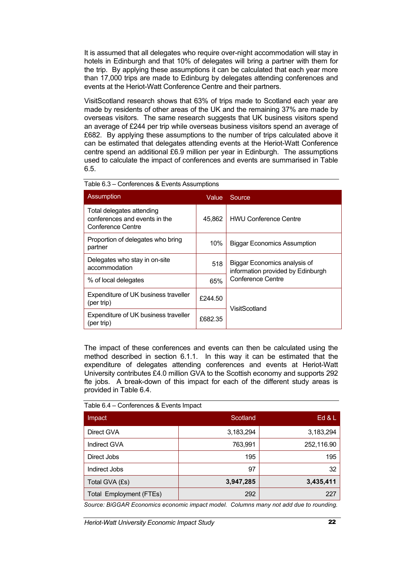It is assumed that all delegates who require over-night accommodation will stay in hotels in Edinburgh and that 10% of delegates will bring a partner with them for the trip. By applying these assumptions it can be calculated that each year more than 17,000 trips are made to Edinburg by delegates attending conferences and events at the Heriot-Watt Conference Centre and their partners.

VisitScotland research shows that 63% of trips made to Scotland each year are made by residents of other areas of the UK and the remaining 37% are made by overseas visitors. The same research suggests that UK business visitors spend an average of £244 per trip while overseas business visitors spend an average of £682. By applying these assumptions to the number of trips calculated above it can be estimated that delegates attending events at the Heriot-Watt Conference centre spend an additional £6.9 million per year in Edinburgh. The assumptions used to calculate the impact of conferences and events are summarised in Table 6.5.

| <b>Assumption</b><br>Value                                                      |         | Source                                                            |
|---------------------------------------------------------------------------------|---------|-------------------------------------------------------------------|
| Total delegates attending<br>conferences and events in the<br>Conference Centre | 45.862  | <b>HWU Conference Centre</b>                                      |
| Proportion of delegates who bring<br>partner                                    | 10%     | <b>Biggar Economics Assumption</b>                                |
| Delegates who stay in on-site<br>accommodation                                  | 518     | Biggar Economics analysis of<br>information provided by Edinburgh |
| % of local delegates                                                            | 65%     | <b>Conference Centre</b>                                          |
| Expenditure of UK business traveller<br>(per trip)                              | £244.50 |                                                                   |
| Expenditure of UK business traveller<br>(per trip)                              | £682.35 | VisitScotland                                                     |

|  | Table 6.3 - Conferences & Events Assumptions |  |  |
|--|----------------------------------------------|--|--|
|  |                                              |  |  |

The impact of these conferences and events can then be calculated using the method described in section 6.1.1. In this way it can be estimated that the expenditure of delegates attending conferences and events at Heriot-Watt University contributes £4.0 million GVA to the Scottish economy and supports 292 fte jobs. A break-down of this impact for each of the different study areas is provided in Table 6.4.

| Table 6.4 – Conferences & Events Impact |  |
|-----------------------------------------|--|
|-----------------------------------------|--|

| Impact                         | Scotland. | Ed 8L      |
|--------------------------------|-----------|------------|
| Direct GVA                     | 3,183,294 | 3,183,294  |
| Indirect GVA                   | 763,991   | 252,116.90 |
| Direct Jobs                    | 195       | 195        |
| Indirect Jobs                  | 97        | 32         |
| Total GVA (£s)                 | 3,947,285 | 3,435,411  |
| <b>Total Employment (FTEs)</b> | 292       | 227        |

*Source: BiGGAR Economics economic impact model. Columns many not add due to rounding.*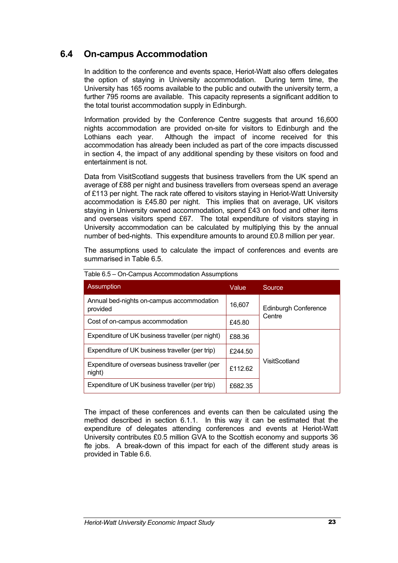# **6.4 On-campus Accommodation**

In addition to the conference and events space, Heriot-Watt also offers delegates the option of staying in University accommodation. During term time, the University has 165 rooms available to the public and outwith the university term, a further 795 rooms are available. This capacity represents a significant addition to the total tourist accommodation supply in Edinburgh.

Information provided by the Conference Centre suggests that around 16,600 nights accommodation are provided on-site for visitors to Edinburgh and the Lothians each year. Although the impact of income received for this accommodation has already been included as part of the core impacts discussed in section 4, the impact of any additional spending by these visitors on food and entertainment is not.

Data from VisitScotland suggests that business travellers from the UK spend an average of £88 per night and business travellers from overseas spend an average of £113 per night. The rack rate offered to visitors staying in Heriot-Watt University accommodation is £45.80 per night. This implies that on average, UK visitors staying in University owned accommodation, spend £43 on food and other items and overseas visitors spend £67. The total expenditure of visitors staying in University accommodation can be calculated by multiplying this by the annual number of bed-nights. This expenditure amounts to around £0.8 million per year.

The assumptions used to calculate the impact of conferences and events are summarised in Table 6.5.

| Assumption                                                | Value            | Source                      |  |
|-----------------------------------------------------------|------------------|-----------------------------|--|
| Annual bed-nights on-campus accommodation<br>provided     | 16,607           | <b>Edinburgh Conference</b> |  |
| Cost of on-campus accommodation                           | Centre<br>£45.80 |                             |  |
| Expenditure of UK business traveller (per night)          | £88.36           |                             |  |
| Expenditure of UK business traveller (per trip)           | £244.50          |                             |  |
| Expenditure of overseas business traveller (per<br>night) | £112.62          | VisitScotland               |  |
| Expenditure of UK business traveller (per trip)           | £682.35          |                             |  |

Table 6.5 – On-Campus Accommodation Assumptions

The impact of these conferences and events can then be calculated using the method described in section 6.1.1. In this way it can be estimated that the expenditure of delegates attending conferences and events at Heriot-Watt University contributes £0.5 million GVA to the Scottish economy and supports 36 fte jobs. A break-down of this impact for each of the different study areas is provided in Table 6.6.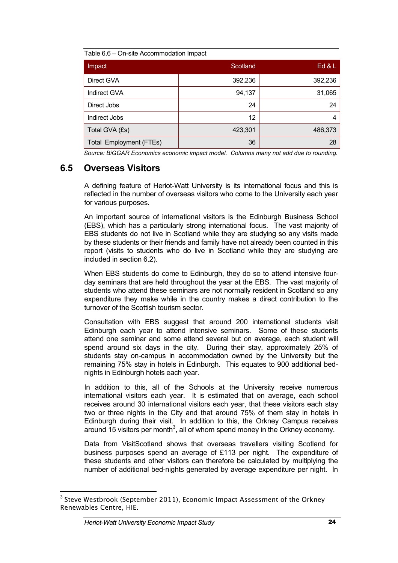|  | Table 6.6 - On-site Accommodation Impact |  |
|--|------------------------------------------|--|
|  |                                          |  |

| Impact                         | Scotland | Ed $&$ L |
|--------------------------------|----------|----------|
| Direct GVA                     | 392,236  | 392,236  |
| <b>Indirect GVA</b>            | 94,137   | 31,065   |
| Direct Jobs                    | 24       | 24       |
| Indirect Jobs                  | 12       | 4        |
| Total GVA (£s)                 | 423,301  | 486,373  |
| <b>Total Employment (FTEs)</b> | 36       | 28       |

*Source: BiGGAR Economics economic impact model. Columns many not add due to rounding.*

# **6.5 Overseas Visitors**

A defining feature of Heriot-Watt University is its international focus and this is reflected in the number of overseas visitors who come to the University each year for various purposes.

An important source of international visitors is the Edinburgh Business School (EBS), which has a particularly strong international focus. The vast majority of EBS students do not live in Scotland while they are studying so any visits made by these students or their friends and family have not already been counted in this report (visits to students who do live in Scotland while they are studying are included in section 6.2).

When EBS students do come to Edinburgh, they do so to attend intensive fourday seminars that are held throughout the year at the EBS. The vast majority of students who attend these seminars are not normally resident in Scotland so any expenditure they make while in the country makes a direct contribution to the turnover of the Scottish tourism sector.

Consultation with EBS suggest that around 200 international students visit Edinburgh each year to attend intensive seminars. Some of these students attend one seminar and some attend several but on average, each student will spend around six days in the city. During their stay, approximately 25% of students stay on-campus in accommodation owned by the University but the remaining 75% stay in hotels in Edinburgh. This equates to 900 additional bednights in Edinburgh hotels each year.

In addition to this, all of the Schools at the University receive numerous international visitors each year. It is estimated that on average, each school receives around 30 international visitors each year, that these visitors each stay two or three nights in the City and that around 75% of them stay in hotels in Edinburgh during their visit. In addition to this, the Orkney Campus receives around 15 visitors per month<sup>3</sup>, all of whom spend money in the Orkney economy.

Data from VisitScotland shows that overseas travellers visiting Scotland for business purposes spend an average of £113 per night. The expenditure of these students and other visitors can therefore be calculated by multiplying the number of additional bed-nights generated by average expenditure per night. In

<sup>&</sup>lt;sup>3</sup> Steve Westbrook (September 2011), Economic Impact Assessment of the Orkney Renewables Centre, HIE.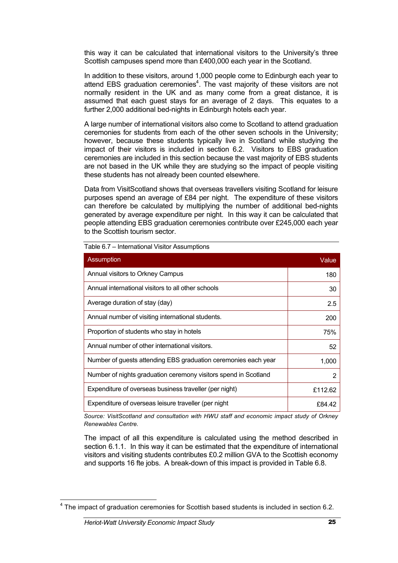this way it can be calculated that international visitors to the University's three Scottish campuses spend more than £400,000 each year in the Scotland.

In addition to these visitors, around 1,000 people come to Edinburgh each year to attend EBS graduation ceremonies $4$ . The vast majority of these visitors are not normally resident in the UK and as many come from a great distance, it is assumed that each guest stays for an average of 2 days. This equates to a further 2,000 additional bed-nights in Edinburgh hotels each year.

A large number of international visitors also come to Scotland to attend graduation ceremonies for students from each of the other seven schools in the University; however, because these students typically live in Scotland while studying the impact of their visitors is included in section 6.2. Visitors to EBS graduation ceremonies are included in this section because the vast majority of EBS students are not based in the UK while they are studying so the impact of people visiting these students has not already been counted elsewhere.

Data from VisitScotland shows that overseas travellers visiting Scotland for leisure purposes spend an average of £84 per night. The expenditure of these visitors can therefore be calculated by multiplying the number of additional bed-nights generated by average expenditure per night. In this way it can be calculated that people attending EBS graduation ceremonies contribute over £245,000 each year to the Scottish tourism sector.

| Assumption                                                      | Value   |
|-----------------------------------------------------------------|---------|
| Annual visitors to Orkney Campus                                | 180     |
| Annual international visitors to all other schools              | 30      |
| Average duration of stay (day)                                  | 2.5     |
| Annual number of visiting international students.               | 200     |
| Proportion of students who stay in hotels                       | 75%     |
| Annual number of other international visitors.                  | 52      |
| Number of guests attending EBS graduation ceremonies each year  | 1,000   |
| Number of nights graduation ceremony visitors spend in Scotland | 2       |
| Expenditure of overseas business traveller (per night)          | £112.62 |
| Expenditure of overseas leisure traveller (per night            | £84.42  |

Table 6.7 – International Visitor Assumptions

*Source: VisitScotland and consultation with HWU staff and economic impact study of Orkney Renewables Centre.*

The impact of all this expenditure is calculated using the method described in section 6.1.1. In this way it can be estimated that the expenditure of international visitors and visiting students contributes £0.2 million GVA to the Scottish economy and supports 16 fte jobs. A break-down of this impact is provided in Table 6.8.

<sup>&</sup>lt;sup>4</sup> The impact of graduation ceremonies for Scottish based students is included in section 6.2.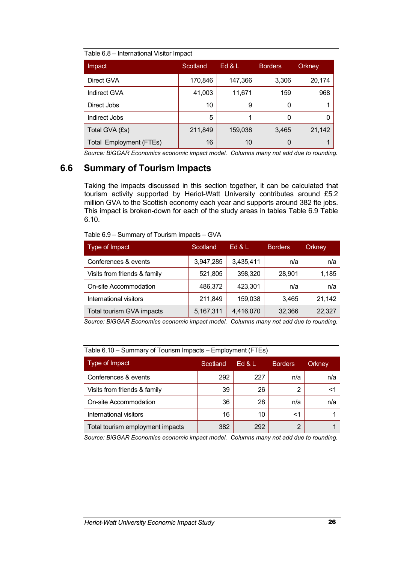|  | Table 6.8 - International Visitor Impact |  |
|--|------------------------------------------|--|
|  |                                          |  |

| Impact                         | Scotland | Ed & L  | <b>Borders</b> | Orkney |
|--------------------------------|----------|---------|----------------|--------|
| Direct GVA                     | 170,846  | 147,366 | 3,306          | 20,174 |
| Indirect GVA                   | 41,003   | 11,671  | 159            | 968    |
| Direct Jobs                    | 10       | 9       | 0              |        |
| Indirect Jobs                  | 5        | 1       | 0              | O      |
| Total GVA (£s)                 | 211,849  | 159,038 | 3,465          | 21,142 |
| <b>Total Employment (FTEs)</b> | 16       | 10      | 0              |        |

*Source: BiGGAR Economics economic impact model. Columns many not add due to rounding.*

### **6.6 Summary of Tourism Impacts**

Taking the impacts discussed in this section together, it can be calculated that tourism activity supported by Heriot-Watt University contributes around £5.2 million GVA to the Scottish economy each year and supports around 382 fte jobs. This impact is broken-down for each of the study areas in tables Table 6.9 Table 6.10.

| Type of Impact               | Scotland  | Ed $\&$ L | <b>Borders</b> | Orkney |
|------------------------------|-----------|-----------|----------------|--------|
| Conferences & events         | 3,947,285 | 3,435,411 | n/a            | n/a    |
| Visits from friends & family | 521,805   | 398,320   | 28,901         | 1,185  |
| On-site Accommodation        | 486,372   | 423,301   | n/a            | n/a    |
| International visitors       | 211,849   | 159,038   | 3,465          | 21,142 |
| Total tourism GVA impacts    | 5,167,311 | 4,416,070 | 32,366         | 22,327 |

*Source: BiGGAR Economics economic impact model. Columns many not add due to rounding.*

| Table 6.10 – Summary of Tourism Impacts – Employment (FTEs) |          |        |                |        |
|-------------------------------------------------------------|----------|--------|----------------|--------|
| Type of Impact                                              | Scotland | Ed & L | <b>Borders</b> | Orkney |
| Conferences & events                                        | 292      | 227    | n/a            | n/a    |
| Visits from friends & family                                | 39       | 26     | 2              | <1     |
| On-site Accommodation                                       | 36       | 28     | n/a            | n/a    |
| International visitors                                      | 16       | 10     | <1             |        |
| Total tourism employment impacts                            | 382      | 292    | $\overline{2}$ |        |

*Source: BiGGAR Economics economic impact model. Columns many not add due to rounding.*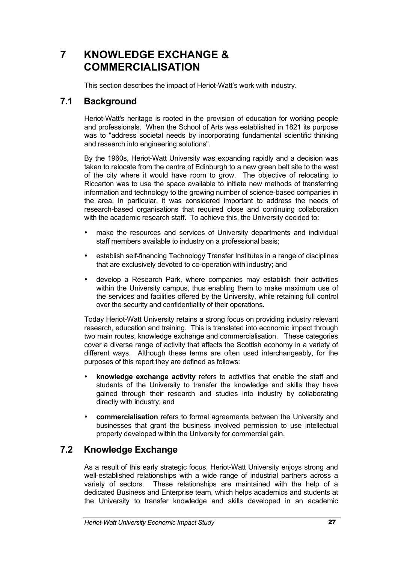# **7 KNOWLEDGE EXCHANGE & COMMERCIALISATION**

This section describes the impact of Heriot-Watt's work with industry.

# **7.1 Background**

Heriot-Watt's heritage is rooted in the provision of education for working people and professionals. When the School of Arts was established in 1821 its purpose was to "address societal needs by incorporating fundamental scientific thinking and research into engineering solutions".

By the 1960s, Heriot-Watt University was expanding rapidly and a decision was taken to relocate from the centre of Edinburgh to a new green belt site to the west of the city where it would have room to grow. The objective of relocating to Riccarton was to use the space available to initiate new methods of transferring information and technology to the growing number of science-based companies in the area. In particular, it was considered important to address the needs of research-based organisations that required close and continuing collaboration with the academic research staff. To achieve this, the University decided to:

- make the resources and services of University departments and individual staff members available to industry on a professional basis;
- establish self-financing Technology Transfer Institutes in a range of disciplines that are exclusively devoted to co-operation with industry; and
- develop a Research Park, where companies may establish their activities within the University campus, thus enabling them to make maximum use of the services and facilities offered by the University, while retaining full control over the security and confidentiality of their operations.

Today Heriot-Watt University retains a strong focus on providing industry relevant research, education and training. This is translated into economic impact through two main routes, knowledge exchange and commercialisation. These categories cover a diverse range of activity that affects the Scottish economy in a variety of different ways. Although these terms are often used interchangeably, for the purposes of this report they are defined as follows:

- **knowledge exchange activity** refers to activities that enable the staff and students of the University to transfer the knowledge and skills they have gained through their research and studies into industry by collaborating directly with industry; and
- **commercialisation** refers to formal agreements between the University and businesses that grant the business involved permission to use intellectual property developed within the University for commercial gain.

# **7.2 Knowledge Exchange**

As a result of this early strategic focus, Heriot-Watt University enjoys strong and well-established relationships with a wide range of industrial partners across a variety of sectors. These relationships are maintained with the help of a dedicated Business and Enterprise team, which helps academics and students at the University to transfer knowledge and skills developed in an academic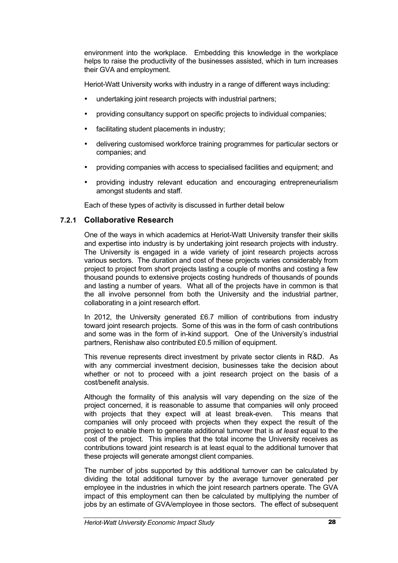environment into the workplace. Embedding this knowledge in the workplace helps to raise the productivity of the businesses assisted, which in turn increases their GVA and employment.

Heriot-Watt University works with industry in a range of different ways including:

- undertaking joint research projects with industrial partners;
- providing consultancy support on specific projects to individual companies;
- facilitating student placements in industry;
- delivering customised workforce training programmes for particular sectors or companies; and
- providing companies with access to specialised facilities and equipment; and
- providing industry relevant education and encouraging entrepreneurialism amongst students and staff.

Each of these types of activity is discussed in further detail below

#### **7.2.1 Collaborative Research**

One of the ways in which academics at Heriot-Watt University transfer their skills and expertise into industry is by undertaking joint research projects with industry. The University is engaged in a wide variety of joint research projects across various sectors. The duration and cost of these projects varies considerably from project to project from short projects lasting a couple of months and costing a few thousand pounds to extensive projects costing hundreds of thousands of pounds and lasting a number of years. What all of the projects have in common is that the all involve personnel from both the University and the industrial partner, collaborating in a joint research effort.

In 2012, the University generated £6.7 million of contributions from industry toward joint research projects. Some of this was in the form of cash contributions and some was in the form of in-kind support. One of the University's industrial partners, Renishaw also contributed £0.5 million of equipment.

This revenue represents direct investment by private sector clients in R&D. As with any commercial investment decision, businesses take the decision about whether or not to proceed with a joint research project on the basis of a cost/benefit analysis.

Although the formality of this analysis will vary depending on the size of the project concerned, it is reasonable to assume that companies will only proceed with projects that they expect will at least break-even. This means that with projects that they expect will at least break-even. companies will only proceed with projects when they expect the result of the project to enable them to generate additional turnover that is *at least* equal to the cost of the project. This implies that the total income the University receives as contributions toward joint research is at least equal to the additional turnover that these projects will generate amongst client companies.

The number of jobs supported by this additional turnover can be calculated by dividing the total additional turnover by the average turnover generated per employee in the industries in which the joint research partners operate. The GVA impact of this employment can then be calculated by multiplying the number of jobs by an estimate of GVA/employee in those sectors. The effect of subsequent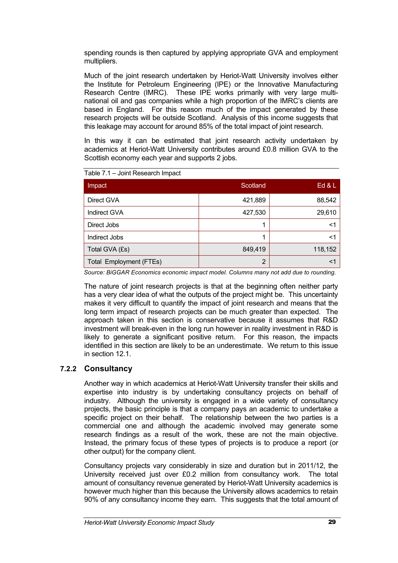spending rounds is then captured by applying appropriate GVA and employment multipliers.

Much of the joint research undertaken by Heriot-Watt University involves either the Institute for Petroleum Engineering (IPE) or the Innovative Manufacturing Research Centre (IMRC). These IPE works primarily with very large multinational oil and gas companies while a high proportion of the IMRC's clients are based in England. For this reason much of the impact generated by these research projects will be outside Scotland. Analysis of this income suggests that this leakage may account for around 85% of the total impact of joint research.

In this way it can be estimated that joint research activity undertaken by academics at Heriot-Watt University contributes around £0.8 million GVA to the Scottish economy each year and supports 2 jobs.

| Impact                  | Scotland | Ed & L  |
|-------------------------|----------|---------|
| Direct GVA              | 421,889  | 88,542  |
| Indirect GVA            | 427,530  | 29,610  |
| Direct Jobs             |          | <1      |
| Indirect Jobs           |          | <1      |
| Total GVA (£s)          | 849,419  | 118,152 |
| Total Employment (FTEs) | 2        | <1      |

Table 7.1 – Joint Research Impact

*Source: BiGGAR Economics economic impact model. Columns many not add due to rounding.*

The nature of joint research projects is that at the beginning often neither party has a very clear idea of what the outputs of the project might be. This uncertainty makes it very difficult to quantify the impact of joint research and means that the long term impact of research projects can be much greater than expected. The approach taken in this section is conservative because it assumes that R&D investment will break-even in the long run however in reality investment in R&D is likely to generate a significant positive return. For this reason, the impacts identified in this section are likely to be an underestimate. We return to this issue in section 12.1.

#### **7.2.2 Consultancy**

Another way in which academics at Heriot-Watt University transfer their skills and expertise into industry is by undertaking consultancy projects on behalf of industry. Although the university is engaged in a wide variety of consultancy projects, the basic principle is that a company pays an academic to undertake a specific project on their behalf. The relationship between the two parties is a commercial one and although the academic involved may generate some research findings as a result of the work, these are not the main objective. Instead, the primary focus of these types of projects is to produce a report (or other output) for the company client.

Consultancy projects vary considerably in size and duration but in 2011/12, the University received just over £0.2 million from consultancy work. The total amount of consultancy revenue generated by Heriot-Watt University academics is however much higher than this because the University allows academics to retain 90% of any consultancy income they earn. This suggests that the total amount of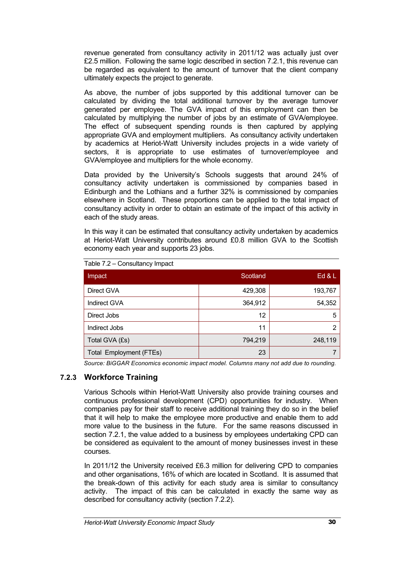revenue generated from consultancy activity in 2011/12 was actually just over £2.5 million. Following the same logic described in section 7.2.1, this revenue can be regarded as equivalent to the amount of turnover that the client company ultimately expects the project to generate.

As above, the number of jobs supported by this additional turnover can be calculated by dividing the total additional turnover by the average turnover generated per employee. The GVA impact of this employment can then be calculated by multiplying the number of jobs by an estimate of GVA/employee. The effect of subsequent spending rounds is then captured by applying appropriate GVA and employment multipliers. As consultancy activity undertaken by academics at Heriot-Watt University includes projects in a wide variety of sectors, it is appropriate to use estimates of turnover/employee and GVA/employee and multipliers for the whole economy.

Data provided by the University's Schools suggests that around 24% of consultancy activity undertaken is commissioned by companies based in Edinburgh and the Lothians and a further 32% is commissioned by companies elsewhere in Scotland. These proportions can be applied to the total impact of consultancy activity in order to obtain an estimate of the impact of this activity in each of the study areas.

In this way it can be estimated that consultancy activity undertaken by academics at Heriot-Watt University contributes around £0.8 million GVA to the Scottish economy each year and supports 23 jobs.

| Impact                         | Scotland | Ed & L  |
|--------------------------------|----------|---------|
| Direct GVA                     | 429,308  | 193,767 |
| Indirect GVA                   | 364,912  | 54,352  |
| Direct Jobs                    | 12       | 5       |
| Indirect Jobs                  | 11       | 2       |
| Total GVA (£s)                 | 794,219  | 248,119 |
| <b>Total Employment (FTEs)</b> | 23       |         |

Table 7.2 – Consultancy Impact

*Source: BiGGAR Economics economic impact model. Columns many not add due to rounding.*

#### **7.2.3 Workforce Training**

Various Schools within Heriot-Watt University also provide training courses and continuous professional development (CPD) opportunities for industry. When companies pay for their staff to receive additional training they do so in the belief that it will help to make the employee more productive and enable them to add more value to the business in the future. For the same reasons discussed in section 7.2.1, the value added to a business by employees undertaking CPD can be considered as equivalent to the amount of money businesses invest in these courses.

In 2011/12 the University received £6.3 million for delivering CPD to companies and other organisations, 16% of which are located in Scotland. It is assumed that the break-down of this activity for each study area is similar to consultancy activity. The impact of this can be calculated in exactly the same way as described for consultancy activity (section 7.2.2).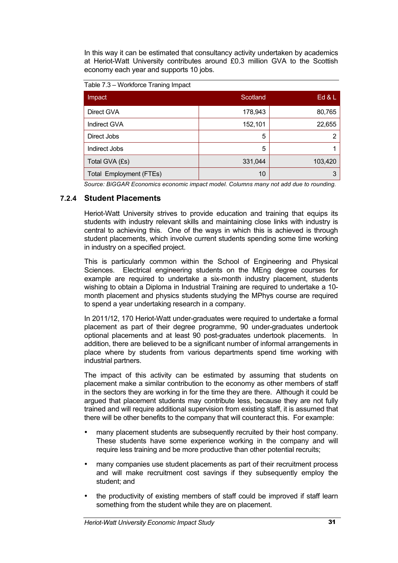In this way it can be estimated that consultancy activity undertaken by academics at Heriot-Watt University contributes around £0.3 million GVA to the Scottish economy each year and supports 10 jobs.

Table 7.3 – Workforce Traning Impact

| Impact                  | Scotland | Ed 8L   |
|-------------------------|----------|---------|
| Direct GVA              | 178,943  | 80,765  |
| Indirect GVA            | 152,101  | 22,655  |
| Direct Jobs             | 5        | າ       |
| Indirect Jobs           | 5        |         |
| Total GVA (£s)          | 331,044  | 103,420 |
| Total Employment (FTEs) | 10       | 3       |

*Source: BiGGAR Economics economic impact model. Columns many not add due to rounding.*

#### **7.2.4 Student Placements**

Heriot-Watt University strives to provide education and training that equips its students with industry relevant skills and maintaining close links with industry is central to achieving this. One of the ways in which this is achieved is through student placements, which involve current students spending some time working in industry on a specified project.

This is particularly common within the School of Engineering and Physical Sciences. Electrical engineering students on the MEng degree courses for example are required to undertake a six-month industry placement, students wishing to obtain a Diploma in Industrial Training are required to undertake a 10 month placement and physics students studying the MPhys course are required to spend a year undertaking research in a company.

In 2011/12, 170 Heriot-Watt under-graduates were required to undertake a formal placement as part of their degree programme, 90 under-graduates undertook optional placements and at least 90 post-graduates undertook placements. In addition, there are believed to be a significant number of informal arrangements in place where by students from various departments spend time working with industrial partners.

The impact of this activity can be estimated by assuming that students on placement make a similar contribution to the economy as other members of staff in the sectors they are working in for the time they are there. Although it could be argued that placement students may contribute less, because they are not fully trained and will require additional supervision from existing staff, it is assumed that there will be other benefits to the company that will counteract this. For example:

- many placement students are subsequently recruited by their host company. These students have some experience working in the company and will require less training and be more productive than other potential recruits;
- many companies use student placements as part of their recruitment process and will make recruitment cost savings if they subsequently employ the student; and
- the productivity of existing members of staff could be improved if staff learn something from the student while they are on placement.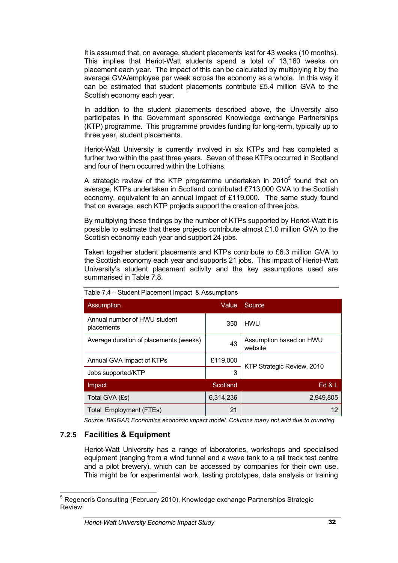It is assumed that, on average, student placements last for 43 weeks (10 months). This implies that Heriot-Watt students spend a total of 13,160 weeks on placement each year. The impact of this can be calculated by multiplying it by the average GVA/employee per week across the economy as a whole. In this way it can be estimated that student placements contribute £5.4 million GVA to the Scottish economy each year.

In addition to the student placements described above, the University also participates in the Government sponsored Knowledge exchange Partnerships (KTP) programme. This programme provides funding for long-term, typically up to three year, student placements.

Heriot-Watt University is currently involved in six KTPs and has completed a further two within the past three years. Seven of these KTPs occurred in Scotland and four of them occurred within the Lothians.

A strategic review of the KTP programme undertaken in  $2010<sup>5</sup>$  found that on average, KTPs undertaken in Scotland contributed £713,000 GVA to the Scottish economy, equivalent to an annual impact of £119,000. The same study found that on average, each KTP projects support the creation of three jobs.

By multiplying these findings by the number of KTPs supported by Heriot-Watt it is possible to estimate that these projects contribute almost £1.0 million GVA to the Scottish economy each year and support 24 jobs.

Taken together student placements and KTPs contribute to £6.3 million GVA to the Scottish economy each year and supports 21 jobs. This impact of Heriot-Watt University's student placement activity and the key assumptions used are summarised in Table 7.8.

| <b>Assumption</b>                          | Value     | Source                             |  |
|--------------------------------------------|-----------|------------------------------------|--|
| Annual number of HWU student<br>placements | 350       | <b>HWU</b>                         |  |
| Average duration of placements (weeks)     | 43        | Assumption based on HWU<br>website |  |
| Annual GVA impact of KTPs                  | £119,000  |                                    |  |
| Jobs supported/KTP                         | 3         | KTP Strategic Review, 2010         |  |
| Impact                                     | Scotland  | Ed 8L                              |  |
| Total GVA (£s)                             | 6,314,236 | 2,949,805                          |  |
| <b>Total Employment (FTEs)</b>             | 21        | 12                                 |  |

Table 7.4 – Student Placement Impact & Assumptions

*Source: BiGGAR Economics economic impact model. Columns many not add due to rounding.*

#### **7.2.5 Facilities & Equipment**

Heriot-Watt University has a range of laboratories, workshops and specialised equipment (ranging from a wind tunnel and a wave tank to a rail track test centre and a pilot brewery), which can be accessed by companies for their own use. This might be for experimental work, testing prototypes, data analysis or training

<sup>&</sup>lt;sup>5</sup> Regeneris Consulting (February 2010), Knowledge exchange Partnerships Strategic Review.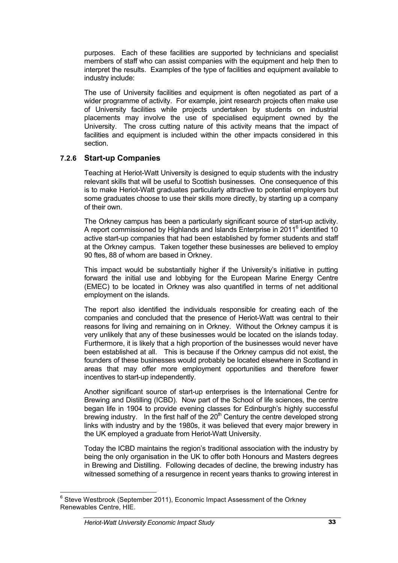purposes. Each of these facilities are supported by technicians and specialist members of staff who can assist companies with the equipment and help then to interpret the results. Examples of the type of facilities and equipment available to industry include:

The use of University facilities and equipment is often negotiated as part of a wider programme of activity. For example, joint research projects often make use of University facilities while projects undertaken by students on industrial placements may involve the use of specialised equipment owned by the University. The cross cutting nature of this activity means that the impact of facilities and equipment is included within the other impacts considered in this section.

#### **7.2.6 Start-up Companies**

Teaching at Heriot-Watt University is designed to equip students with the industry relevant skills that will be useful to Scottish businesses. One consequence of this is to make Heriot-Watt graduates particularly attractive to potential employers but some graduates choose to use their skills more directly, by starting up a company of their own.

The Orkney campus has been a particularly significant source of start-up activity. A report commissioned by Highlands and Islands Enterprise in 2011<sup>6</sup> identified 10 active start-up companies that had been established by former students and staff at the Orkney campus. Taken together these businesses are believed to employ 90 ftes, 88 of whom are based in Orkney.

This impact would be substantially higher if the University's initiative in putting forward the initial use and lobbying for the European Marine Energy Centre (EMEC) to be located in Orkney was also quantified in terms of net additional employment on the islands.

The report also identified the individuals responsible for creating each of the companies and concluded that the presence of Heriot-Watt was central to their reasons for living and remaining on in Orkney. Without the Orkney campus it is very unlikely that any of these businesses would be located on the islands today. Furthermore, it is likely that a high proportion of the businesses would never have been established at all. This is because if the Orkney campus did not exist, the founders of these businesses would probably be located elsewhere in Scotland in areas that may offer more employment opportunities and therefore fewer incentives to start-up independently.

Another significant source of start-up enterprises is the International Centre for Brewing and Distilling (ICBD). Now part of the School of life sciences, the centre began life in 1904 to provide evening classes for Edinburgh's highly successful brewing industry. In the first half of the  $20<sup>th</sup>$  Century the centre developed strong links with industry and by the 1980s, it was believed that every major brewery in the UK employed a graduate from Heriot-Watt University.

Today the ICBD maintains the region's traditional association with the industry by being the only organisation in the UK to offer both Honours and Masters degrees in Brewing and Distilling. Following decades of decline, the brewing industry has witnessed something of a resurgence in recent years thanks to growing interest in

 $6$  Steve Westbrook (September 2011), Economic Impact Assessment of the Orkney Renewables Centre, HIE.

*Heriot-Watt University Economic Impact Study* 33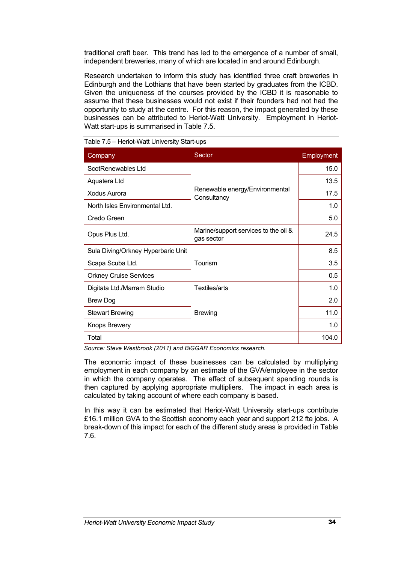traditional craft beer. This trend has led to the emergence of a number of small, independent breweries, many of which are located in and around Edinburgh.

Research undertaken to inform this study has identified three craft breweries in Edinburgh and the Lothians that have been started by graduates from the ICBD. Given the uniqueness of the courses provided by the ICBD it is reasonable to assume that these businesses would not exist if their founders had not had the opportunity to study at the centre. For this reason, the impact generated by these businesses can be attributed to Heriot-Watt University. Employment in Heriot-Watt start-ups is summarised in Table 7.5.

| Company                                            | Sector                                             | Employment |
|----------------------------------------------------|----------------------------------------------------|------------|
| ScotRenewables Ltd                                 |                                                    | 15.0       |
| Aquatera Ltd                                       |                                                    | 13.5       |
| <b>Xodus Aurora</b>                                | Renewable energy/Environmental<br>Consultancy      | 17.5       |
| North Isles Environmental Ltd.                     |                                                    | 1.0        |
| Credo Green                                        |                                                    | 5.0        |
| Opus Plus Ltd.                                     | Marine/support services to the oil &<br>gas sector | 24.5       |
| Sula Diving/Orkney Hyperbaric Unit                 |                                                    | 8.5        |
| Scapa Scuba Ltd.                                   | Tourism                                            | 3.5        |
| <b>Orkney Cruise Services</b>                      |                                                    | 0.5        |
| Digitata Ltd./Marram Studio                        | <b>Textiles/arts</b>                               | 1.0        |
| <b>Brew Dog</b>                                    |                                                    | 2.0        |
| <b>Stewart Brewing</b>                             | <b>Brewing</b>                                     | 11.0       |
| <b>Knops Brewery</b>                               |                                                    | 1.0        |
| Total<br>$\sim$ $\sim$ $\sim$ $\sim$ $\sim$ $\sim$ | $\cdot$ $ \cdot$ $  \cdot$ $\cdot$                 | 104.0      |

Table 7.5 – Heriot-Watt University Start-ups

*Source: Steve Westbrook (2011) and BiGGAR Economics research.*

The economic impact of these businesses can be calculated by multiplying employment in each company by an estimate of the GVA/employee in the sector in which the company operates. The effect of subsequent spending rounds is then captured by applying appropriate multipliers. The impact in each area is calculated by taking account of where each company is based.

In this way it can be estimated that Heriot-Watt University start-ups contribute £16.1 million GVA to the Scottish economy each year and support 212 fte jobs. A break-down of this impact for each of the different study areas is provided in Table 7.6.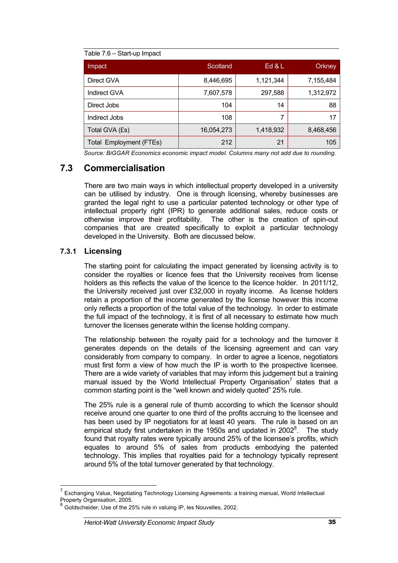| Impact                         | Scotland   | Ed 8L     | Orkney    |
|--------------------------------|------------|-----------|-----------|
| Direct GVA                     | 8,446,695  | 1,121,344 | 7,155,484 |
| <b>Indirect GVA</b>            | 7,607,578  | 297,588   | 1,312,972 |
| Direct Jobs                    | 104        | 14        | 88        |
| Indirect Jobs                  | 108        |           | 17        |
| Total GVA (£s)                 | 16,054,273 | 1,418,932 | 8,468,456 |
| <b>Total Employment (FTEs)</b> | 212        | 21        | 105       |

*Source: BiGGAR Economics economic impact model. Columns many not add due to rounding.*

# **7.3 Commercialisation**

There are two main ways in which intellectual property developed in a university can be utilised by industry. One is through licensing, whereby businesses are granted the legal right to use a particular patented technology or other type of intellectual property right (IPR) to generate additional sales, reduce costs or otherwise improve their profitability. The other is the creation of spin-out companies that are created specifically to exploit a particular technology developed in the University. Both are discussed below.

#### **7.3.1 Licensing**

The starting point for calculating the impact generated by licensing activity is to consider the royalties or licence fees that the University receives from license holders as this reflects the value of the licence to the licence holder. In 2011/12, the University received just over £32,000 in royalty income. As license holders retain a proportion of the income generated by the license however this income only reflects a proportion of the total value of the technology. In order to estimate the full impact of the technology, it is first of all necessary to estimate how much turnover the licenses generate within the license holding company.

The relationship between the royalty paid for a technology and the turnover it generates depends on the details of the licensing agreement and can vary considerably from company to company. In order to agree a licence, negotiators must first form a view of how much the IP is worth to the prospective licensee. There are a wide variety of variables that may inform this judgement but a training manual issued by the World Intellectual Property Organisation<sup>7</sup> states that a common starting point is the "well known and widely quoted" 25% rule.

The 25% rule is a general rule of thumb according to which the licensor should receive around one quarter to one third of the profits accruing to the licensee and has been used by IP negotiators for at least 40 years. The rule is based on an empirical study first undertaken in the 1950s and updated in 2002 $^8$ . The study found that royalty rates were typically around 25% of the licensee's profits, which equates to around 5% of sales from products embodying the patented technology. This implies that royalties paid for a technology typically represent around 5% of the total turnover generated by that technology.

Exchanging Value, Negotiating Technology Licensing Agreements: a training manual, World Intellectual Property Organisation, 2005.

<sup>8</sup> Goldscheider, Use of the 25% rule in valuing IP, les Nouvelles, 2002.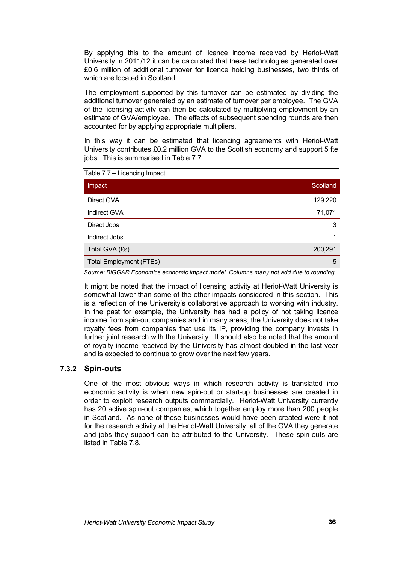By applying this to the amount of licence income received by Heriot-Watt University in 2011/12 it can be calculated that these technologies generated over £0.6 million of additional turnover for licence holding businesses, two thirds of which are located in Scotland.

The employment supported by this turnover can be estimated by dividing the additional turnover generated by an estimate of turnover per employee. The GVA of the licensing activity can then be calculated by multiplying employment by an estimate of GVA/employee. The effects of subsequent spending rounds are then accounted for by applying appropriate multipliers.

In this way it can be estimated that licencing agreements with Heriot-Watt University contributes £0.2 million GVA to the Scottish economy and support 5 fte jobs. This is summarised in Table 7.7.

| Direct GVA                     | 129,220 |
|--------------------------------|---------|
|                                |         |
| <b>Indirect GVA</b>            | 71,071  |
| Direct Jobs                    | 3       |
| Indirect Jobs                  |         |
| Total GVA (£s)                 | 200,291 |
| <b>Total Employment (FTEs)</b> | 5       |

Table 7.7 – Licencing Impact

*Source: BiGGAR Economics economic impact model. Columns many not add due to rounding.*

It might be noted that the impact of licensing activity at Heriot-Watt University is somewhat lower than some of the other impacts considered in this section. This is a reflection of the University's collaborative approach to working with industry. In the past for example, the University has had a policy of not taking licence income from spin-out companies and in many areas, the University does not take royalty fees from companies that use its IP, providing the company invests in further joint research with the University. It should also be noted that the amount of royalty income received by the University has almost doubled in the last year and is expected to continue to grow over the next few years.

#### **7.3.2 Spin-outs**

One of the most obvious ways in which research activity is translated into economic activity is when new spin-out or start-up businesses are created in order to exploit research outputs commercially. Heriot-Watt University currently has 20 active spin-out companies, which together employ more than 200 people in Scotland. As none of these businesses would have been created were it not for the research activity at the Heriot-Watt University, all of the GVA they generate and jobs they support can be attributed to the University. These spin-outs are listed in Table 7.8.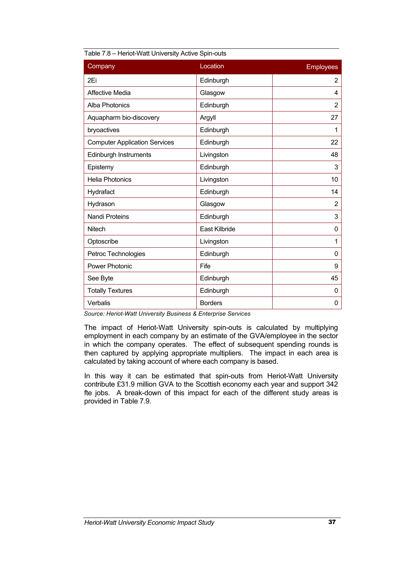| <b>THOMAGE PROTECTIVE CONTRACTOR</b> |                |                  |  |
|--------------------------------------|----------------|------------------|--|
| Company                              | Location       | <b>Employees</b> |  |
| 2Ei                                  | Edinburgh      | 2                |  |
| <b>Affective Media</b>               | Glasgow        | 4                |  |
| <b>Alba Photonics</b>                | Edinburgh      | $\overline{2}$   |  |
| Aquapharm bio-discovery              | Argyll         | 27               |  |
| bryoactives                          | Edinburgh      | 1                |  |
| <b>Computer Application Services</b> | Edinburgh      | 22               |  |
| <b>Edinburgh Instruments</b>         | Livingston     | 48               |  |
| Epistemy                             | Edinburgh      | 3                |  |
| <b>Helia Photonics</b>               | Livingston     | 10               |  |
| Hydrafact                            | Edinburgh      | 14               |  |
| Hydrason                             | Glasgow        | 2                |  |
| <b>Nandi Proteins</b>                | Edinburgh      | 3                |  |
| Nitech                               | East Kilbride  | 0                |  |
| Optoscribe                           | Livingston     | 1                |  |
| Petroc Technologies                  | Edinburgh      | 0                |  |
| <b>Power Photonic</b>                | Fife           | 9                |  |
| See Byte                             | Edinburgh      | 45               |  |
| <b>Totally Textures</b>              | Edinburgh      | 0                |  |
| Verbalis                             | <b>Borders</b> | 0                |  |

| Table 7.8 – Heriot-Watt University Active Spin-outs |  |  |
|-----------------------------------------------------|--|--|
|                                                     |  |  |
|                                                     |  |  |

*Source: Heriot-Watt University Business & Enterprise Services* 

The impact of Heriot-Watt University spin-outs is calculated by multiplying employment in each company by an estimate of the GVA/employee in the sector in which the company operates. The effect of subsequent spending rounds is then captured by applying appropriate multipliers. The impact in each area is calculated by taking account of where each company is based.

In this way it can be estimated that spin-outs from Heriot-Watt University contribute £31.9 million GVA to the Scottish economy each year and support 342 fte jobs. A break-down of this impact for each of the different study areas is provided in Table 7.9.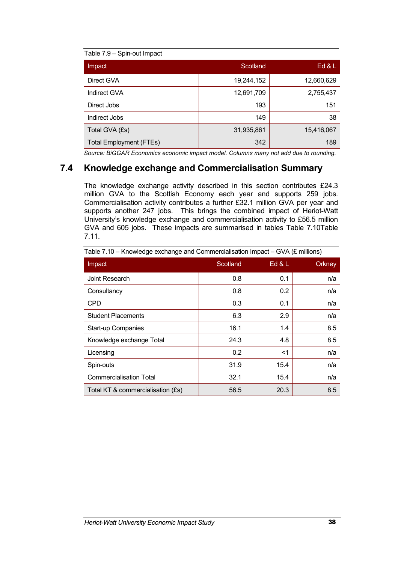| Table 7.9 - Spin-out Impact    |            |            |
|--------------------------------|------------|------------|
| Impact                         | Scotland   | Ed & L     |
| Direct GVA                     | 19,244,152 | 12,660,629 |
| <b>Indirect GVA</b>            | 12,691,709 | 2,755,437  |
| Direct Jobs                    | 193        | 151        |
| Indirect Jobs                  | 149        | 38         |
| Total GVA (£s)                 | 31,935,861 | 15,416,067 |
| <b>Total Employment (FTEs)</b> | 342        | 189        |

*Source: BiGGAR Economics economic impact model. Columns many not add due to rounding.*

### **7.4 Knowledge exchange and Commercialisation Summary**

The knowledge exchange activity described in this section contributes £24.3 million GVA to the Scottish Economy each year and supports 259 jobs. Commercialisation activity contributes a further £32.1 million GVA per year and supports another 247 jobs. This brings the combined impact of Heriot-Watt University's knowledge exchange and commercialisation activity to £56.5 million GVA and 605 jobs. These impacts are summarised in tables Table 7.10Table 7.11.

| Impact                            | Scotland | Ed $&L$ | Orkney |
|-----------------------------------|----------|---------|--------|
| Joint Research                    | 0.8      | 0.1     | n/a    |
| Consultancy                       | 0.8      | 0.2     | n/a    |
| <b>CPD</b>                        | 0.3      | 0.1     | n/a    |
| <b>Student Placements</b>         | 6.3      | 2.9     | n/a    |
| <b>Start-up Companies</b>         | 16.1     | 1.4     | 8.5    |
| Knowledge exchange Total          | 24.3     | 4.8     | 8.5    |
| Licensing                         | 0.2      | $<$ 1   | n/a    |
| Spin-outs                         | 31.9     | 15.4    | n/a    |
| <b>Commercialisation Total</b>    | 32.1     | 15.4    | n/a    |
| Total KT & commercialisation (£s) | 56.5     | 20.3    | 8.5    |

Table 7.10 – Knowledge exchange and Commercialisation Impact – GVA (£ millions)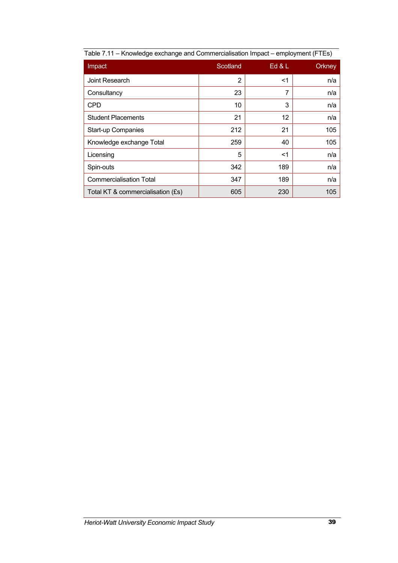| Impact                            | Scotland       | Ed $&L$ | Orkney |
|-----------------------------------|----------------|---------|--------|
| Joint Research                    | $\overline{2}$ | $<$ 1   | n/a    |
| Consultancy                       | 23             | 7       | n/a    |
| <b>CPD</b>                        | 10             | 3       | n/a    |
| <b>Student Placements</b>         | 21             | 12      | n/a    |
| Start-up Companies                | 212            | 21      | 105    |
| Knowledge exchange Total          | 259            | 40      | 105    |
| Licensing                         | 5              | $<$ 1   | n/a    |
| Spin-outs                         | 342            | 189     | n/a    |
| <b>Commercialisation Total</b>    | 347            | 189     | n/a    |
| Total KT & commercialisation (£s) | 605            | 230     | 105    |

| Table 7.11 - Knowledge exchange and Commercialisation Impact - employment (FTEs) |  |
|----------------------------------------------------------------------------------|--|
|                                                                                  |  |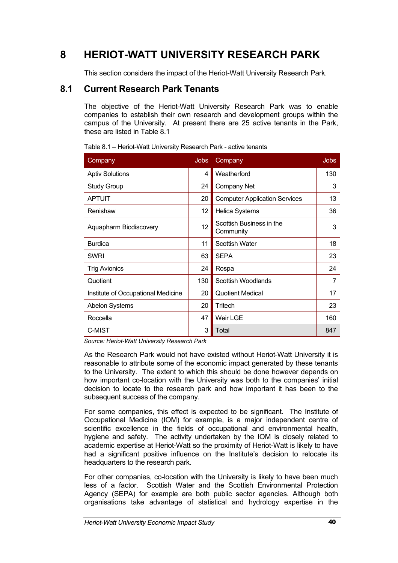# **8 HERIOT-WATT UNIVERSITY RESEARCH PARK**

This section considers the impact of the Heriot-Watt University Research Park.

# **8.1 Current Research Park Tenants**

The objective of the Heriot-Watt University Research Park was to enable companies to establish their own research and development groups within the campus of the University. At present there are 25 active tenants in the Park, these are listed in Table 8.1

| Company                            | <b>Jobs</b> | Company                               | <b>Jobs</b>    |
|------------------------------------|-------------|---------------------------------------|----------------|
| <b>Aptiv Solutions</b>             | 4           | Weatherford                           | 130            |
| <b>Study Group</b>                 | 24          | <b>Company Net</b>                    | 3              |
| <b>APTUIT</b>                      | 20          | <b>Computer Application Services</b>  | 13             |
| Renishaw                           | 12          | <b>Helica Systems</b>                 | 36             |
| Aquapharm Biodiscovery             | 12          | Scottish Business in the<br>Community | 3              |
| <b>Burdica</b>                     | 11          | <b>Scottish Water</b>                 | 18             |
| <b>SWRI</b>                        | 63          | <b>SEPA</b>                           | 23             |
| <b>Trig Avionics</b>               | 24          | Rospa                                 | 24             |
| Quotient                           | 130         | Scottish Woodlands                    | $\overline{7}$ |
| Institute of Occupational Medicine | 20          | <b>Quotient Medical</b>               | 17             |
| <b>Abelon Systems</b>              | 20          | Tritech                               | 23             |
| Roccella                           | 47          | Weir LGE                              | 160            |
| C-MIST                             | 3           | Total                                 | 847            |

Table 8.1 – Heriot-Watt University Research Park - active tenants

*Source: Heriot-Watt University Research Park*

As the Research Park would not have existed without Heriot-Watt University it is reasonable to attribute some of the economic impact generated by these tenants to the University. The extent to which this should be done however depends on how important co-location with the University was both to the companies' initial decision to locate to the research park and how important it has been to the subsequent success of the company.

For some companies, this effect is expected to be significant. The Institute of Occupational Medicine (IOM) for example, is a major independent centre of scientific excellence in the fields of occupational and environmental health, hygiene and safety. The activity undertaken by the IOM is closely related to academic expertise at Heriot-Watt so the proximity of Heriot-Watt is likely to have had a significant positive influence on the Institute's decision to relocate its headquarters to the research park.

For other companies, co-location with the University is likely to have been much less of a factor. Scottish Water and the Scottish Environmental Protection Agency (SEPA) for example are both public sector agencies. Although both organisations take advantage of statistical and hydrology expertise in the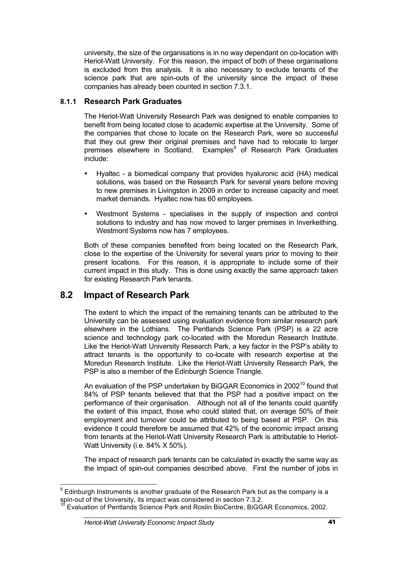university, the size of the organisations is in no way dependant on co-location with Heriot-Watt University. For this reason, the impact of both of these organisations is excluded from this analysis. It is also necessary to exclude tenants of the science park that are spin-outs of the university since the impact of these companies has already been counted in section 7.3.1.

#### **8.1.1 Research Park Graduates**

The Heriot-Watt University Research Park was designed to enable companies to benefit from being located close to academic expertise at the University. Some of the companies that chose to locate on the Research Park, were so successful that they out grew their original premises and have had to relocate to larger premises elsewhere in Scotland. Examples<sup>9</sup> of Research Park Graduates include:

- Hyaltec a biomedical company that provides hyaluronic acid (HA) medical solutions, was based on the Research Park for several years before moving to new premises in Livingston in 2009 in order to increase capacity and meet market demands. Hyaltec now has 60 employees.
- Westmont Systems specialises in the supply of inspection and control solutions to industry and has now moved to larger premises in Inverkeithing. Westmont Systems now has 7 employees.

Both of these companies benefited from being located on the Research Park, close to the expertise of the University for several years prior to moving to their present locations. For this reason, it is appropriate to include some of their current impact in this study. This is done using exactly the same approach taken for existing Research Park tenants.

# **8.2 Impact of Research Park**

The extent to which the impact of the remaining tenants can be attributed to the University can be assessed using evaluation evidence from similar research park elsewhere in the Lothians. The Pentlands Science Park (PSP) is a 22 acre science and technology park co-located with the Moredun Research Institute. Like the Heriot-Watt University Research Park, a key factor in the PSP's ability to attract tenants is the opportunity to co-locate with research expertise at the Moredun Research Institute. Like the Heriot-Watt University Research Park, the PSP is also a member of the Edinburgh Science Triangle.

An evaluation of the PSP undertaken by BiGGAR Economics in 2002<sup>10</sup> found that 84% of PSP tenants believed that that the PSP had a positive impact on the performance of their organisation. Although not all of the tenants could quantify the extent of this impact, those who could stated that, on average 50% of their employment and turnover could be attributed to being based at PSP. On this evidence it could therefore be assumed that 42% of the economic impact arising from tenants at the Heriot-Watt University Research Park is attributable to Heriot-Watt University (i.e. 84% X 50%).

The impact of research park tenants can be calculated in exactly the same way as the impact of spin-out companies described above. First the number of jobs in

 $9$  Edinburgh Instruments is another graduate of the Research Park but as the company is a spin-out of the University, its impact was considered in section 7.3.2.<br><sup>10</sup> Evaluation of Pentlands Science Park and Roslin BioCentre, BiGGAR Economics, 2002.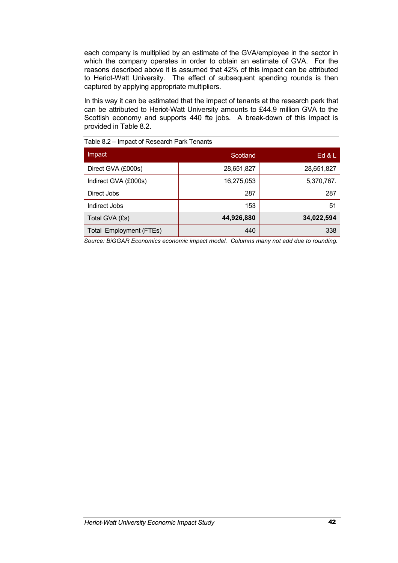each company is multiplied by an estimate of the GVA/employee in the sector in which the company operates in order to obtain an estimate of GVA. For the reasons described above it is assumed that 42% of this impact can be attributed to Heriot-Watt University. The effect of subsequent spending rounds is then captured by applying appropriate multipliers.

In this way it can be estimated that the impact of tenants at the research park that can be attributed to Heriot-Watt University amounts to £44.9 million GVA to the Scottish economy and supports 440 fte jobs. A break-down of this impact is provided in Table 8.2.

| Impact                  | Scotland   | Ed 8L      |
|-------------------------|------------|------------|
| Direct GVA (£000s)      | 28,651,827 | 28,651,827 |
| Indirect GVA (£000s)    | 16,275,053 | 5,370,767. |
| Direct Jobs             | 287        | 287        |
| Indirect Jobs           | 153        | 51         |
| Total GVA (£s)          | 44,926,880 | 34,022,594 |
| Total Employment (FTEs) | 440        | 338        |

Table 8.2 – Impact of Research Park Tenants

*Source: BiGGAR Economics economic impact model. Columns many not add due to rounding.*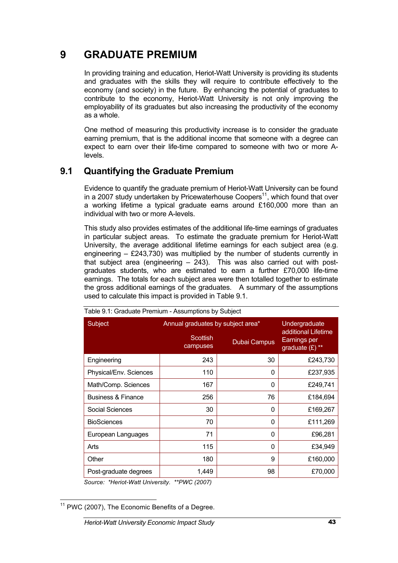# **9 GRADUATE PREMIUM**

In providing training and education, Heriot-Watt University is providing its students and graduates with the skills they will require to contribute effectively to the economy (and society) in the future. By enhancing the potential of graduates to contribute to the economy, Heriot-Watt University is not only improving the employability of its graduates but also increasing the productivity of the economy as a whole.

One method of measuring this productivity increase is to consider the graduate earning premium, that is the additional income that someone with a degree can expect to earn over their life-time compared to someone with two or more Alevels.

# **9.1 Quantifying the Graduate Premium**

Evidence to quantify the graduate premium of Heriot-Watt University can be found in a 2007 study undertaken by Pricewaterhouse Coopers $11$ , which found that over a working lifetime a typical graduate earns around £160,000 more than an individual with two or more A-levels.

This study also provides estimates of the additional life-time earnings of graduates in particular subject areas. To estimate the graduate premium for Heriot-Watt University, the average additional lifetime earnings for each subject area (e.g. engineering  $-$  £243,730) was multiplied by the number of students currently in that subject area (engineering – 243). This was also carried out with postgraduates students, who are estimated to earn a further £70,000 life-time earnings. The totals for each subject area were then totalled together to estimate the gross additional earnings of the graduates. A summary of the assumptions used to calculate this impact is provided in Table 9.1.

| Subject                       | Annual graduates by subject area* | Undergraduate |                                                          |
|-------------------------------|-----------------------------------|---------------|----------------------------------------------------------|
|                               | Scottish<br>campuses              | Dubai Campus  | additional Lifetime<br>Earnings per<br>graduate $(E)$ ** |
| Engineering                   | 243                               | 30            | £243,730                                                 |
| Physical/Env. Sciences        | 110                               | 0             | £237,935                                                 |
| Math/Comp. Sciences           | 167                               | $\Omega$      | £249,741                                                 |
| <b>Business &amp; Finance</b> | 256                               | 76            | £184,694                                                 |
| Social Sciences               | 30                                | 0             | £169,267                                                 |
| <b>BioSciences</b>            | 70                                | $\Omega$      | £111,269                                                 |
| European Languages            | 71                                | $\Omega$      | £96,281                                                  |
| Arts                          | 115                               | 0             | £34,949                                                  |
| Other                         | 180                               | 9             | £160,000                                                 |
| Post-graduate degrees         | 1,449                             | 98            | £70,000                                                  |

Table 9.1: Graduate Premium - Assumptions by Subject

*Source: \*Heriot-Watt University. \*\*PWC (2007)* 

 $11$  PWC (2007), The Economic Benefits of a Degree.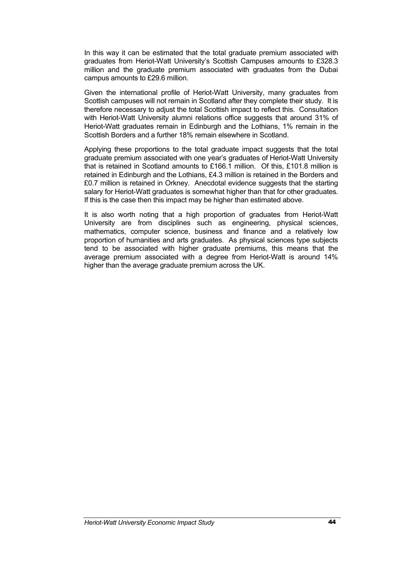In this way it can be estimated that the total graduate premium associated with graduates from Heriot-Watt University's Scottish Campuses amounts to £328.3 million and the graduate premium associated with graduates from the Dubai campus amounts to £29.6 million.

Given the international profile of Heriot-Watt University, many graduates from Scottish campuses will not remain in Scotland after they complete their study. It is therefore necessary to adjust the total Scottish impact to reflect this. Consultation with Heriot-Watt University alumni relations office suggests that around 31% of Heriot-Watt graduates remain in Edinburgh and the Lothians, 1% remain in the Scottish Borders and a further 18% remain elsewhere in Scotland.

Applying these proportions to the total graduate impact suggests that the total graduate premium associated with one year's graduates of Heriot-Watt University that is retained in Scotland amounts to £166.1 million. Of this, £101.8 million is retained in Edinburgh and the Lothians, £4.3 million is retained in the Borders and £0.7 million is retained in Orkney. Anecdotal evidence suggests that the starting salary for Heriot-Watt graduates is somewhat higher than that for other graduates. If this is the case then this impact may be higher than estimated above.

It is also worth noting that a high proportion of graduates from Heriot-Watt University are from disciplines such as engineering, physical sciences, mathematics, computer science, business and finance and a relatively low proportion of humanities and arts graduates. As physical sciences type subjects tend to be associated with higher graduate premiums, this means that the average premium associated with a degree from Heriot-Watt is around 14% higher than the average graduate premium across the UK.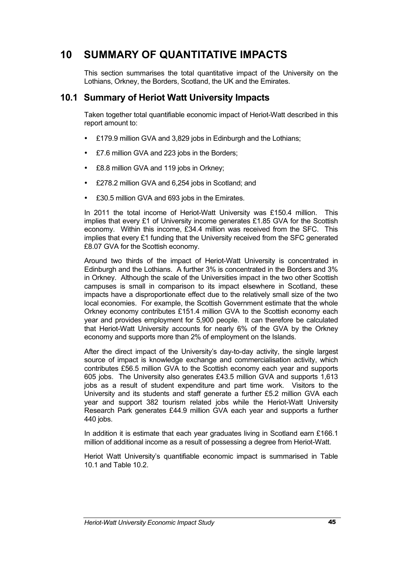# **10 SUMMARY OF QUANTITATIVE IMPACTS**

This section summarises the total quantitative impact of the University on the Lothians, Orkney, the Borders, Scotland, the UK and the Emirates.

# **10.1 Summary of Heriot Watt University Impacts**

Taken together total quantifiable economic impact of Heriot-Watt described in this report amount to:

- £179.9 million GVA and 3,829 jobs in Edinburgh and the Lothians;
- £7.6 million GVA and 223 jobs in the Borders;
- £8.8 million GVA and 119 jobs in Orkney;
- £278.2 million GVA and 6,254 jobs in Scotland; and
- £30.5 million GVA and 693 jobs in the Emirates.

In 2011 the total income of Heriot-Watt University was £150.4 million. This implies that every £1 of University income generates £1.85 GVA for the Scottish economy. Within this income, £34.4 million was received from the SFC. This implies that every £1 funding that the University received from the SFC generated £8.07 GVA for the Scottish economy.

Around two thirds of the impact of Heriot-Watt University is concentrated in Edinburgh and the Lothians. A further 3% is concentrated in the Borders and 3% in Orkney. Although the scale of the Universities impact in the two other Scottish campuses is small in comparison to its impact elsewhere in Scotland, these impacts have a disproportionate effect due to the relatively small size of the two local economies. For example, the Scottish Government estimate that the whole Orkney economy contributes £151.4 million GVA to the Scottish economy each year and provides employment for 5,900 people. It can therefore be calculated that Heriot-Watt University accounts for nearly 6% of the GVA by the Orkney economy and supports more than 2% of employment on the Islands.

After the direct impact of the University's day-to-day activity, the single largest source of impact is knowledge exchange and commercialisation activity, which contributes £56.5 million GVA to the Scottish economy each year and supports 605 jobs. The University also generates £43.5 million GVA and supports 1,613 jobs as a result of student expenditure and part time work. Visitors to the University and its students and staff generate a further £5.2 million GVA each year and support 382 tourism related jobs while the Heriot-Watt University Research Park generates £44.9 million GVA each year and supports a further 440 jobs.

In addition it is estimate that each year graduates living in Scotland earn £166.1 million of additional income as a result of possessing a degree from Heriot-Watt.

Heriot Watt University's quantifiable economic impact is summarised in Table 10.1 and Table 10.2.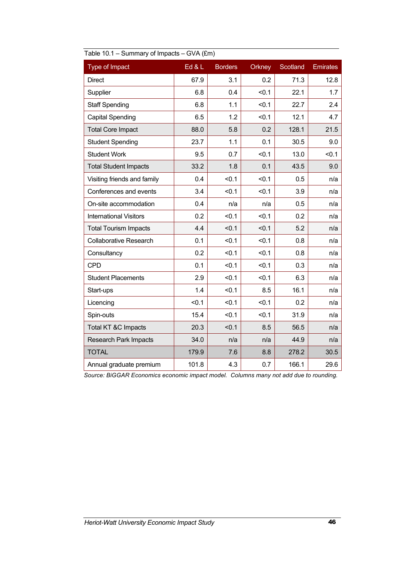| Type of Impact                | Ed & L | <b>Borders</b> | Orkney | Scotland | <b>Emirates</b> |
|-------------------------------|--------|----------------|--------|----------|-----------------|
| <b>Direct</b>                 | 67.9   | 3.1            | 0.2    | 71.3     | 12.8            |
| Supplier                      | 6.8    | 0.4            | < 0.1  | 22.1     | 1.7             |
| <b>Staff Spending</b>         | 6.8    | 1.1            | < 0.1  | 22.7     | 2.4             |
| <b>Capital Spending</b>       | 6.5    | 1.2            | < 0.1  | 12.1     | 4.7             |
| <b>Total Core Impact</b>      | 88.0   | 5.8            | 0.2    | 128.1    | 21.5            |
| <b>Student Spending</b>       | 23.7   | 1.1            | 0.1    | 30.5     | 9.0             |
| <b>Student Work</b>           | 9.5    | 0.7            | < 0.1  | 13.0     | < 0.1           |
| <b>Total Student Impacts</b>  | 33.2   | 1.8            | 0.1    | 43.5     | 9.0             |
| Visiting friends and family   | 0.4    | < 0.1          | < 0.1  | 0.5      | n/a             |
| Conferences and events        | 3.4    | < 0.1          | < 0.1  | 3.9      | n/a             |
| On-site accommodation         | 0.4    | n/a            | n/a    | 0.5      | n/a             |
| <b>International Visitors</b> | 0.2    | < 0.1          | < 0.1  | 0.2      | n/a             |
| <b>Total Tourism Impacts</b>  | 4.4    | < 0.1          | < 0.1  | 5.2      | n/a             |
| <b>Collaborative Research</b> | 0.1    | < 0.1          | < 0.1  | 0.8      | n/a             |
| Consultancy                   | 0.2    | < 0.1          | < 0.1  | 0.8      | n/a             |
| <b>CPD</b>                    | 0.1    | < 0.1          | < 0.1  | 0.3      | n/a             |
| <b>Student Placements</b>     | 2.9    | < 0.1          | < 0.1  | 6.3      | n/a             |
| Start-ups                     | 1.4    | < 0.1          | 8.5    | 16.1     | n/a             |
| Licencing                     | < 0.1  | < 0.1          | < 0.1  | 0.2      | n/a             |
| Spin-outs                     | 15.4   | < 0.1          | < 0.1  | 31.9     | n/a             |
| Total KT &C Impacts           | 20.3   | < 0.1          | 8.5    | 56.5     | n/a             |
| <b>Research Park Impacts</b>  | 34.0   | n/a            | n/a    | 44.9     | n/a             |
| <b>TOTAL</b>                  | 179.9  | 7.6            | 8.8    | 278.2    | 30.5            |
| Annual graduate premium       | 101.8  | 4.3            | 0.7    | 166.1    | 29.6            |

| Table 10.1 - Summary of Impacts - GVA (£m) |  |
|--------------------------------------------|--|
|                                            |  |

*Source: BiGGAR Economics economic impact model. Columns many not add due to rounding.*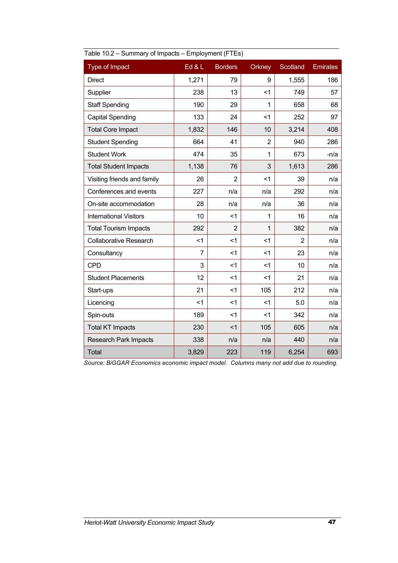| L                             |                |                |                |                |                 |
|-------------------------------|----------------|----------------|----------------|----------------|-----------------|
| Type of Impact                | Ed & L         | <b>Borders</b> | Orkney         | Scotland       | <b>Emirates</b> |
| <b>Direct</b>                 | 1,271          | 79             | 9              | 1,555          | 186             |
| Supplier                      | 238            | 13             | $<$ 1          | 749            | 57              |
| <b>Staff Spending</b>         | 190            | 29             | 1              | 658            | 68              |
| <b>Capital Spending</b>       | 133            | 24             | $<$ 1          | 252            | 97              |
| <b>Total Core Impact</b>      | 1,832          | 146            | 10             | 3,214          | 408             |
| <b>Student Spending</b>       | 664            | 41             | $\overline{2}$ | 940            | 286             |
| <b>Student Work</b>           | 474            | 35             | 1              | 673            | $-n/a$          |
| <b>Total Student Impacts</b>  | 1,138          | 76             | 3              | 1,613          | 286             |
| Visiting friends and family   | 26             | $\overline{2}$ | $<$ 1          | 39             | n/a             |
| Conferences and events        | 227            | n/a            | n/a            | 292            | n/a             |
| On-site accommodation         | 28             | n/a            | n/a            | 36             | n/a             |
| <b>International Visitors</b> | 10             | $<$ 1          | 1              | 16             | n/a             |
| <b>Total Tourism Impacts</b>  | 292            | $\overline{2}$ | 1              | 382            | n/a             |
| <b>Collaborative Research</b> | $\leq$ 1       | $<$ 1          | $<$ 1          | $\overline{2}$ | n/a             |
| Consultancy                   | $\overline{7}$ | $<$ 1          | $<$ 1          | 23             | n/a             |
| <b>CPD</b>                    | 3              | $<$ 1          | $<$ 1          | 10             | n/a             |
| <b>Student Placements</b>     | 12             | $<$ 1          | $<$ 1          | 21             | n/a             |
| Start-ups                     | 21             | < 1            | 105            | 212            | n/a             |
| Licencing                     | $<$ 1          | $<$ 1          | $<$ 1          | 5.0            | n/a             |
| Spin-outs                     | 189            | $<$ 1          | $<$ 1          | 342            | n/a             |
| <b>Total KT Impacts</b>       | 230            | < 1            | 105            | 605            | n/a             |
| <b>Research Park Impacts</b>  | 338            | n/a            | n/a            | 440            | n/a             |
| <b>Total</b>                  | 3,829          | 223            | 119            | 6,254          | 693             |

| Table 10.2 – Summary of Impacts – Employment (FTEs) |  |  |
|-----------------------------------------------------|--|--|
|                                                     |  |  |
|                                                     |  |  |

*Source: BiGGAR Economics economic impact model. Columns many not add due to rounding.*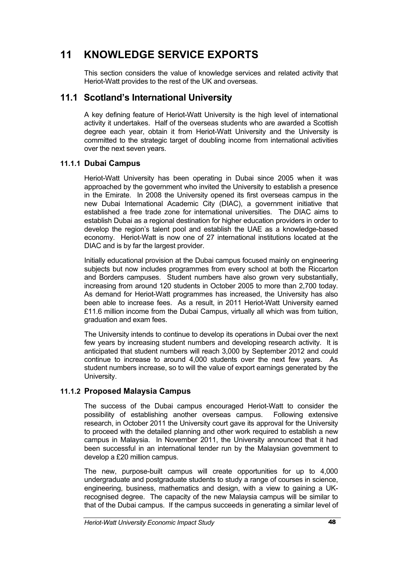# **11 KNOWLEDGE SERVICE EXPORTS**

This section considers the value of knowledge services and related activity that Heriot-Watt provides to the rest of the UK and overseas.

# **11.1 Scotland's International University**

A key defining feature of Heriot-Watt University is the high level of international activity it undertakes. Half of the overseas students who are awarded a Scottish degree each year, obtain it from Heriot-Watt University and the University is committed to the strategic target of doubling income from international activities over the next seven years.

#### **11.1.1 Dubai Campus**

Heriot-Watt University has been operating in Dubai since 2005 when it was approached by the government who invited the University to establish a presence in the Emirate. In 2008 the University opened its first overseas campus in the new Dubai International Academic City (DIAC), a government initiative that established a free trade zone for international universities. The DIAC aims to establish Dubai as a regional destination for higher education providers in order to develop the region's talent pool and establish the UAE as a knowledge-based economy. Heriot-Watt is now one of 27 international institutions located at the DIAC and is by far the largest provider.

Initially educational provision at the Dubai campus focused mainly on engineering subjects but now includes programmes from every school at both the Riccarton and Borders campuses. Student numbers have also grown very substantially, increasing from around 120 students in October 2005 to more than 2,700 today. As demand for Heriot-Watt programmes has increased, the University has also been able to increase fees. As a result, in 2011 Heriot-Watt University earned £11.6 million income from the Dubai Campus, virtually all which was from tuition, graduation and exam fees.

The University intends to continue to develop its operations in Dubai over the next few years by increasing student numbers and developing research activity. It is anticipated that student numbers will reach 3,000 by September 2012 and could continue to increase to around 4,000 students over the next few years. As student numbers increase, so to will the value of export earnings generated by the University.

#### **11.1.2 Proposed Malaysia Campus**

The success of the Dubai campus encouraged Heriot-Watt to consider the possibility of establishing another overseas campus. Following extensive research, in October 2011 the University court gave its approval for the University to proceed with the detailed planning and other work required to establish a new campus in Malaysia. In November 2011, the University announced that it had been successful in an international tender run by the Malaysian government to develop a £20 million campus.

The new, purpose-built campus will create opportunities for up to 4,000 undergraduate and postgraduate students to study a range of courses in science, engineering, business, mathematics and design, with a view to gaining a UKrecognised degree. The capacity of the new Malaysia campus will be similar to that of the Dubai campus. If the campus succeeds in generating a similar level of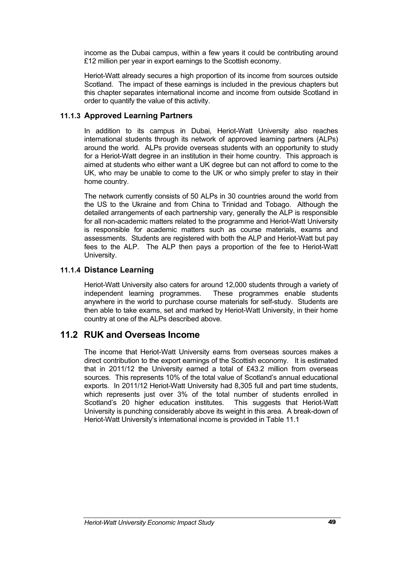income as the Dubai campus, within a few years it could be contributing around £12 million per year in export earnings to the Scottish economy.

Heriot-Watt already secures a high proportion of its income from sources outside Scotland. The impact of these earnings is included in the previous chapters but this chapter separates international income and income from outside Scotland in order to quantify the value of this activity.

#### **11.1.3 Approved Learning Partners**

In addition to its campus in Dubai, Heriot-Watt University also reaches international students through its network of approved learning partners (ALPs) around the world. ALPs provide overseas students with an opportunity to study for a Heriot-Watt degree in an institution in their home country. This approach is aimed at students who either want a UK degree but can not afford to come to the UK, who may be unable to come to the UK or who simply prefer to stay in their home country.

The network currently consists of 50 ALPs in 30 countries around the world from the US to the Ukraine and from China to Trinidad and Tobago. Although the detailed arrangements of each partnership vary, generally the ALP is responsible for all non-academic matters related to the programme and Heriot-Watt University is responsible for academic matters such as course materials, exams and assessments. Students are registered with both the ALP and Heriot-Watt but pay fees to the ALP. The ALP then pays a proportion of the fee to Heriot-Watt University.

#### **11.1.4 Distance Learning**

Heriot-Watt University also caters for around 12,000 students through a variety of independent learning programmes. These programmes enable students anywhere in the world to purchase course materials for self-study. Students are then able to take exams, set and marked by Heriot-Watt University, in their home country at one of the ALPs described above.

# **11.2 RUK and Overseas Income**

The income that Heriot-Watt University earns from overseas sources makes a direct contribution to the export earnings of the Scottish economy. It is estimated that in 2011/12 the University earned a total of £43.2 million from overseas sources. This represents 10% of the total value of Scotland's annual educational exports. In 2011/12 Heriot-Watt University had 8,305 full and part time students, which represents just over 3% of the total number of students enrolled in Scotland's 20 higher education institutes. This suggests that Heriot-Watt University is punching considerably above its weight in this area. A break-down of Heriot-Watt University's international income is provided in Table 11.1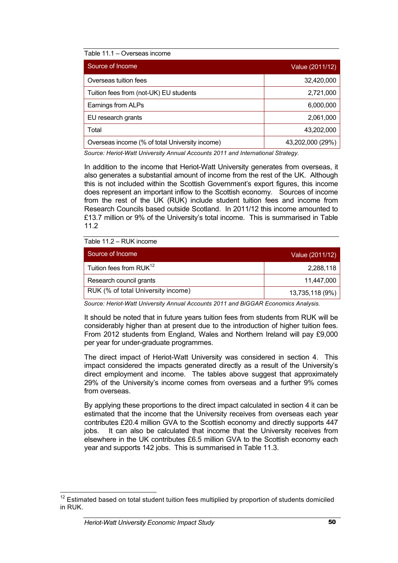| Source of Income                               | Value (2011/12)  |
|------------------------------------------------|------------------|
| Overseas tuition fees                          | 32,420,000       |
| Tuition fees from (not-UK) EU students         | 2,721,000        |
| Earnings from ALPs                             | 6,000,000        |
| EU research grants                             | 2,061,000        |
| Total                                          | 43,202,000       |
| Overseas income (% of total University income) | 43,202,000 (29%) |

*Source: Heriot-Watt University Annual Accounts 2011 and International Strategy.*

In addition to the income that Heriot-Watt University generates from overseas, it also generates a substantial amount of income from the rest of the UK. Although this is not included within the Scottish Government's export figures, this income does represent an important inflow to the Scottish economy. Sources of income from the rest of the UK (RUK) include student tuition fees and income from Research Councils based outside Scotland. In 2011/12 this income amounted to £13.7 million or 9% of the University's total income. This is summarised in Table 11.2

Table 11.2 – RUK income

| Source of Income                    | Value (2011/12) |
|-------------------------------------|-----------------|
| Tuition fees from RUK <sup>12</sup> | 2,288,118       |
| Research council grants             | 11,447,000      |
| RUK (% of total University income)  | 13,735,118 (9%) |

*Source: Heriot-Watt University Annual Accounts 2011 and BiGGAR Economics Analysis.*

It should be noted that in future years tuition fees from students from RUK will be considerably higher than at present due to the introduction of higher tuition fees. From 2012 students from England, Wales and Northern Ireland will pay £9,000 per year for under-graduate programmes.

The direct impact of Heriot-Watt University was considered in section 4. This impact considered the impacts generated directly as a result of the University's direct employment and income. The tables above suggest that approximately 29% of the University's income comes from overseas and a further 9% comes from overseas.

By applying these proportions to the direct impact calculated in section 4 it can be estimated that the income that the University receives from overseas each year contributes £20.4 million GVA to the Scottish economy and directly supports 447 jobs. It can also be calculated that income that the University receives from elsewhere in the UK contributes £6.5 million GVA to the Scottish economy each year and supports 142 jobs. This is summarised in Table 11.3.

 $12$  Estimated based on total student tuition fees multiplied by proportion of students domiciled in RUK.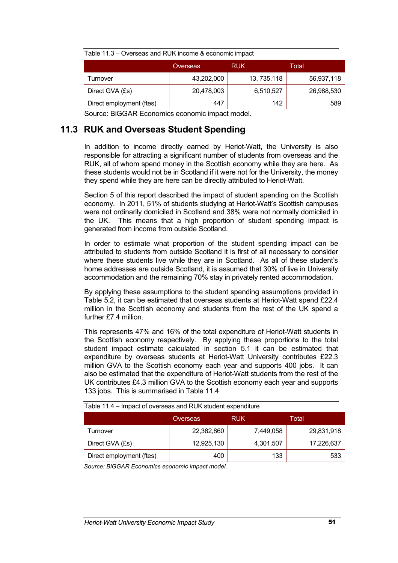| i able 11.3 – Overseas and RUK Income & economic impact |            |              |            |  |  |
|---------------------------------------------------------|------------|--------------|------------|--|--|
|                                                         | Overseas   | <b>RUK</b>   | Total      |  |  |
| Turnover                                                | 43,202,000 | 13, 735, 118 | 56,937,118 |  |  |
| Direct GVA (£s)                                         | 20,478,003 | 6,510,527    | 26,988,530 |  |  |
| Direct employment (ftes)                                | 447        | 142          | 589        |  |  |

Table 11.3 – Overseas and RUK income & economic impact

Source: BiGGAR Economics economic impact model.

# **11.3 RUK and Overseas Student Spending**

In addition to income directly earned by Heriot-Watt, the University is also responsible for attracting a significant number of students from overseas and the RUK, all of whom spend money in the Scottish economy while they are here. As these students would not be in Scotland if it were not for the University, the money they spend while they are here can be directly attributed to Heriot-Watt.

Section 5 of this report described the impact of student spending on the Scottish economy. In 2011, 51% of students studying at Heriot-Watt's Scottish campuses were not ordinarily domiciled in Scotland and 38% were not normally domiciled in the UK. This means that a high proportion of student spending impact is generated from income from outside Scotland.

In order to estimate what proportion of the student spending impact can be attributed to students from outside Scotland it is first of all necessary to consider where these students live while they are in Scotland. As all of these student's home addresses are outside Scotland, it is assumed that 30% of live in University accommodation and the remaining 70% stay in privately rented accommodation.

By applying these assumptions to the student spending assumptions provided in Table 5.2, it can be estimated that overseas students at Heriot-Watt spend £22.4 million in the Scottish economy and students from the rest of the UK spend a further £7.4 million.

This represents 47% and 16% of the total expenditure of Heriot-Watt students in the Scottish economy respectively. By applying these proportions to the total student impact estimate calculated in section 5.1 it can be estimated that expenditure by overseas students at Heriot-Watt University contributes £22.3 million GVA to the Scottish economy each year and supports 400 jobs. It can also be estimated that the expenditure of Heriot-Watt students from the rest of the UK contributes £4.3 million GVA to the Scottish economy each year and supports 133 jobs. This is summarised in Table 11.4

|                          | Overseas   | <b>RUK</b> | Total      |
|--------------------------|------------|------------|------------|
| Turnover                 | 22,382,860 | 7,449,058  | 29,831,918 |
| Direct GVA (£s)          | 12,925,130 | 4,301,507  | 17,226,637 |
| Direct employment (ftes) | 400        | 133        | 533        |

Table 11.4 – Impact of overseas and RUK student expenditure

*Source: BiGGAR Economics economic impact model.*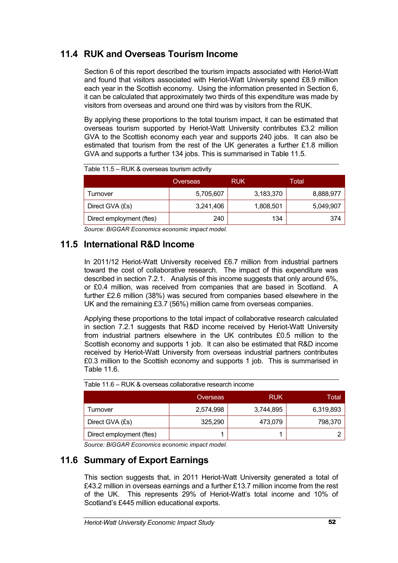# **11.4 RUK and Overseas Tourism Income**

Section 6 of this report described the tourism impacts associated with Heriot-Watt and found that visitors associated with Heriot-Watt University spend £8.9 million each year in the Scottish economy. Using the information presented in Section 6, it can be calculated that approximately two thirds of this expenditure was made by visitors from overseas and around one third was by visitors from the RUK.

By applying these proportions to the total tourism impact, it can be estimated that overseas tourism supported by Heriot-Watt University contributes £3.2 million GVA to the Scottish economy each year and supports 240 jobs. It can also be estimated that tourism from the rest of the UK generates a further £1.8 million GVA and supports a further 134 jobs. This is summarised in Table 11.5.

|                          | Overseas  | <b>RUK</b> | Total     |
|--------------------------|-----------|------------|-----------|
| Turnover                 | 5,705,607 | 3,183,370  | 8,888,977 |
| Direct GVA (£s)          | 3,241,406 | 1,808,501  | 5,049,907 |
| Direct employment (ftes) | 240       | 134        | 374       |

Table 11.5 – RUK & overseas tourism activity

*Source: BiGGAR Economics economic impact model.*

# **11.5 International R&D Income**

In 2011/12 Heriot-Watt University received £6.7 million from industrial partners toward the cost of collaborative research. The impact of this expenditure was described in section 7.2.1. Analysis of this income suggests that only around 6%, or £0.4 million, was received from companies that are based in Scotland. A further £2.6 million (38%) was secured from companies based elsewhere in the UK and the remaining £3.7 (56%) million came from overseas companies.

Applying these proportions to the total impact of collaborative research calculated in section 7.2.1 suggests that R&D income received by Heriot-Watt University from industrial partners elsewhere in the UK contributes £0.5 million to the Scottish economy and supports 1 job. It can also be estimated that R&D income received by Heriot-Watt University from overseas industrial partners contributes £0.3 million to the Scottish economy and supports 1 job. This is summarised in Table 11.6.

| Table TT.0 — KOK & OVEISEAS COIIADOLAINE TESEATCH INCOHIE |           |            |           |
|-----------------------------------------------------------|-----------|------------|-----------|
|                                                           | Overseas  | <b>RUK</b> | Total     |
| Turnover                                                  | 2,574,998 | 3,744,895  | 6,319,893 |
| Direct GVA (£s)                                           | 325.290   | 473,079    | 798,370   |
| Direct employment (ftes)                                  |           |            |           |

| Table 11.6 - RUK & overseas collaborative research income |  |  |
|-----------------------------------------------------------|--|--|
|-----------------------------------------------------------|--|--|

*Source: BiGGAR Economics economic impact model.*

# **11.6 Summary of Export Earnings**

This section suggests that, in 2011 Heriot-Watt University generated a total of £43.2 million in overseas earnings and a further £13.7 million income from the rest of the UK. This represents 29% of Heriot-Watt's total income and 10% of Scotland's £445 million educational exports.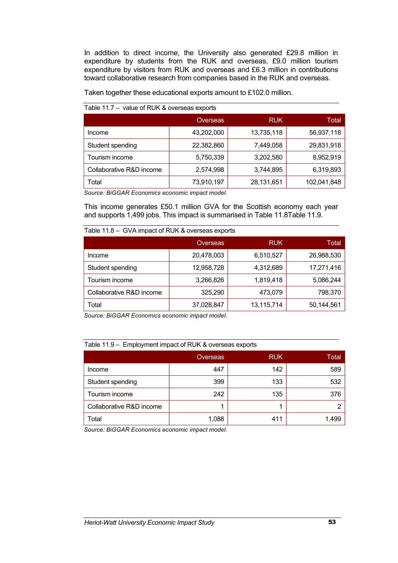In addition to direct income, the University also generated £29.8 million in expenditure by students from the RUK and overseas, £9.0 million tourism expenditure by visitors from RUK and overseas and £6.3 million in contributions toward collaborative research from companies based in the RUK and overseas.

Taken together these educational exports amount to £102.0 million.

|                          | Overseas   | <b>RUK</b> | Total       |
|--------------------------|------------|------------|-------------|
| Income                   | 43,202,000 | 13,735,118 | 56,937,118  |
| Student spending         | 22,382,860 | 7,449,058  | 29,831,918  |
| Tourism income           | 5,750,339  | 3,202,580  | 8,952,919   |
| Collaborative R&D income | 2,574,998  | 3,744,895  | 6,319,893   |
| Total                    | 73,910,197 | 28,131,651 | 102,041,848 |

Table 11.7 – value of RUK & overseas exports

*Source: BiGGAR Economics economic impact model.*

This income generates £50.1 million GVA for the Scottish economy each year and supports 1,499 jobs. This impact is summarised in Table 11.8Table 11.9.

| Table 11.8 - GVA impact of RUK & overseas exports |            |            |            |
|---------------------------------------------------|------------|------------|------------|
|                                                   | Overseas   | <b>RUK</b> | Total.     |
| Income                                            | 20,478,003 | 6,510,527  | 26,988,530 |
| Student spending                                  | 12,958,728 | 4,312,689  | 17,271,416 |
| Tourism income                                    | 3,266,826  | 1,819,418  | 5,086,244  |
| Collaborative R&D income                          | 325,290    | 473,079    | 798,370    |
| Total                                             | 37,028,847 | 13,115,714 | 50,144,561 |

*Source: BiGGAR Economics economic impact model.*

#### Table 11.9 – Employment impact of RUK & overseas exports

|                          | Overseas | <b>RUK</b> | Total |
|--------------------------|----------|------------|-------|
| Income                   | 447      | 142        | 589   |
| Student spending         | 399      | 133        | 532   |
| Tourism income           | 242      | 135        | 376   |
| Collaborative R&D income |          |            |       |
| Total                    | 1,088    | 411        | .499  |

*Source: BiGGAR Economics economic impact model.*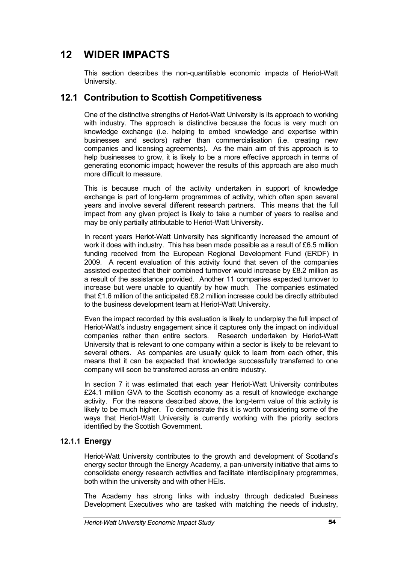# **12 WIDER IMPACTS**

This section describes the non-quantifiable economic impacts of Heriot-Watt University.

# **12.1 Contribution to Scottish Competitiveness**

One of the distinctive strengths of Heriot-Watt University is its approach to working with industry. The approach is distinctive because the focus is very much on knowledge exchange (i.e. helping to embed knowledge and expertise within businesses and sectors) rather than commercialisation (i.e. creating new companies and licensing agreements). As the main aim of this approach is to help businesses to grow, it is likely to be a more effective approach in terms of generating economic impact; however the results of this approach are also much more difficult to measure.

This is because much of the activity undertaken in support of knowledge exchange is part of long-term programmes of activity, which often span several years and involve several different research partners. This means that the full impact from any given project is likely to take a number of years to realise and may be only partially attributable to Heriot-Watt University.

In recent years Heriot-Watt University has significantly increased the amount of work it does with industry. This has been made possible as a result of £6.5 million funding received from the European Regional Development Fund (ERDF) in 2009. A recent evaluation of this activity found that seven of the companies assisted expected that their combined turnover would increase by £8.2 million as a result of the assistance provided. Another 11 companies expected turnover to increase but were unable to quantify by how much. The companies estimated that £1.6 million of the anticipated £8.2 million increase could be directly attributed to the business development team at Heriot-Watt University.

Even the impact recorded by this evaluation is likely to underplay the full impact of Heriot-Watt's industry engagement since it captures only the impact on individual companies rather than entire sectors. Research undertaken by Heriot-Watt University that is relevant to one company within a sector is likely to be relevant to several others. As companies are usually quick to learn from each other, this means that it can be expected that knowledge successfully transferred to one company will soon be transferred across an entire industry.

In section 7 it was estimated that each year Heriot-Watt University contributes £24.1 million GVA to the Scottish economy as a result of knowledge exchange activity. For the reasons described above, the long-term value of this activity is likely to be much higher. To demonstrate this it is worth considering some of the ways that Heriot-Watt University is currently working with the priority sectors identified by the Scottish Government.

#### **12.1.1 Energy**

Heriot-Watt University contributes to the growth and development of Scotland's energy sector through the Energy Academy, a pan-university initiative that aims to consolidate energy research activities and facilitate interdisciplinary programmes, both within the university and with other HEIs.

The Academy has strong links with industry through dedicated Business Development Executives who are tasked with matching the needs of industry,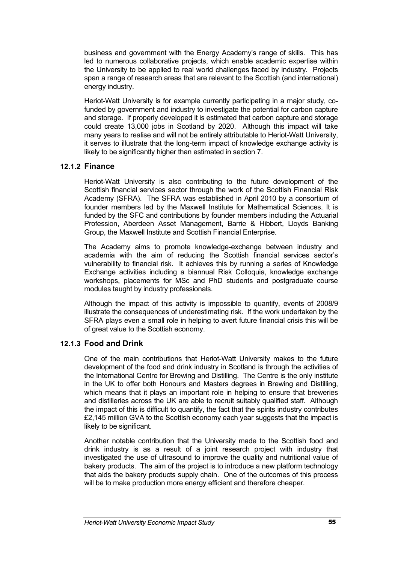business and government with the Energy Academy's range of skills. This has led to numerous collaborative projects, which enable academic expertise within the University to be applied to real world challenges faced by industry. Projects span a range of research areas that are relevant to the Scottish (and international) energy industry.

Heriot-Watt University is for example currently participating in a major study, cofunded by government and industry to investigate the potential for carbon capture and storage. If properly developed it is estimated that carbon capture and storage could create 13,000 jobs in Scotland by 2020. Although this impact will take many years to realise and will not be entirely attributable to Heriot-Watt University, it serves to illustrate that the long-term impact of knowledge exchange activity is likely to be significantly higher than estimated in section 7.

#### **12.1.2 Finance**

Heriot-Watt University is also contributing to the future development of the Scottish financial services sector through the work of the Scottish Financial Risk Academy (SFRA). The SFRA was established in April 2010 by a consortium of founder members led by the Maxwell Institute for Mathematical Sciences. It is funded by the SFC and contributions by founder members including the Actuarial Profession, Aberdeen Asset Management, Barrie & Hibbert, Lloyds Banking Group, the Maxwell Institute and Scottish Financial Enterprise.

The Academy aims to promote knowledge-exchange between industry and academia with the aim of reducing the Scottish financial services sector's vulnerability to financial risk. It achieves this by running a series of Knowledge Exchange activities including a biannual Risk Colloquia, knowledge exchange workshops, placements for MSc and PhD students and postgraduate course modules taught by industry professionals.

Although the impact of this activity is impossible to quantify, events of 2008/9 illustrate the consequences of underestimating risk. If the work undertaken by the SFRA plays even a small role in helping to avert future financial crisis this will be of great value to the Scottish economy.

#### **12.1.3 Food and Drink**

One of the main contributions that Heriot-Watt University makes to the future development of the food and drink industry in Scotland is through the activities of the International Centre for Brewing and Distilling. The Centre is the only institute in the UK to offer both Honours and Masters degrees in Brewing and Distilling, which means that it plays an important role in helping to ensure that breweries and distilleries across the UK are able to recruit suitably qualified staff. Although the impact of this is difficult to quantify, the fact that the spirits industry contributes £2,145 million GVA to the Scottish economy each year suggests that the impact is likely to be significant.

Another notable contribution that the University made to the Scottish food and drink industry is as a result of a joint research project with industry that investigated the use of ultrasound to improve the quality and nutritional value of bakery products. The aim of the project is to introduce a new platform technology that aids the bakery products supply chain. One of the outcomes of this process will be to make production more energy efficient and therefore cheaper.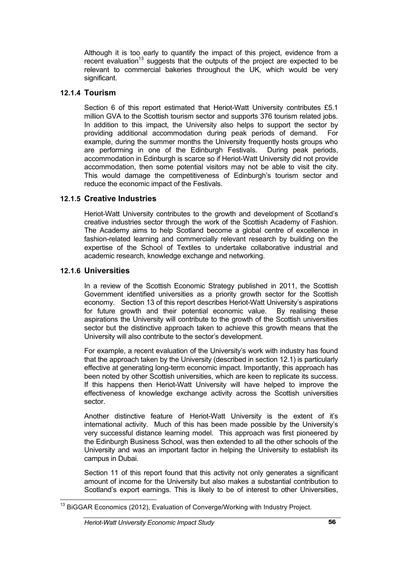Although it is too early to quantify the impact of this project, evidence from a recent evaluation<sup>13</sup> suggests that the outputs of the project are expected to be relevant to commercial bakeries throughout the UK, which would be very significant.

#### **12.1.4 Tourism**

Section 6 of this report estimated that Heriot-Watt University contributes £5.1 million GVA to the Scottish tourism sector and supports 376 tourism related jobs. In addition to this impact, the University also helps to support the sector by providing additional accommodation during peak periods of demand. For example, during the summer months the University frequently hosts groups who are performing in one of the Edinburgh Festivals. During peak periods, accommodation in Edinburgh is scarce so if Heriot-Watt University did not provide accommodation, then some potential visitors may not be able to visit the city. This would damage the competitiveness of Edinburgh's tourism sector and reduce the economic impact of the Festivals.

#### **12.1.5 Creative Industries**

Heriot-Watt University contributes to the growth and development of Scotland's creative industries sector through the work of the Scottish Academy of Fashion. The Academy aims to help Scotland become a global centre of excellence in fashion-related learning and commercially relevant research by building on the expertise of the School of Textiles to undertake collaborative industrial and academic research, knowledge exchange and networking.

#### **12.1.6 Universities**

In a review of the Scottish Economic Strategy published in 2011, the Scottish Government identified universities as a priority growth sector for the Scottish economy. Section 13 of this report describes Heriot-Watt University's aspirations for future growth and their potential economic value. By realising these aspirations the University will contribute to the growth of the Scottish universities sector but the distinctive approach taken to achieve this growth means that the University will also contribute to the sector's development.

For example, a recent evaluation of the University's work with industry has found that the approach taken by the University (described in section 12.1) is particularly effective at generating long-term economic impact. Importantly, this approach has been noted by other Scottish universities, which are keen to replicate its success. If this happens then Heriot-Watt University will have helped to improve the effectiveness of knowledge exchange activity across the Scottish universities sector.

Another distinctive feature of Heriot-Watt University is the extent of it's international activity. Much of this has been made possible by the University's very successful distance learning model. This approach was first pioneered by the Edinburgh Business School, was then extended to all the other schools of the University and was an important factor in helping the University to establish its campus in Dubai.

Section 11 of this report found that this activity not only generates a significant amount of income for the University but also makes a substantial contribution to Scotland's export earnings. This is likely to be of interest to other Universities,

<sup>&</sup>lt;sup>13</sup> BiGGAR Economics (2012), Evaluation of Converge/Working with Industry Project.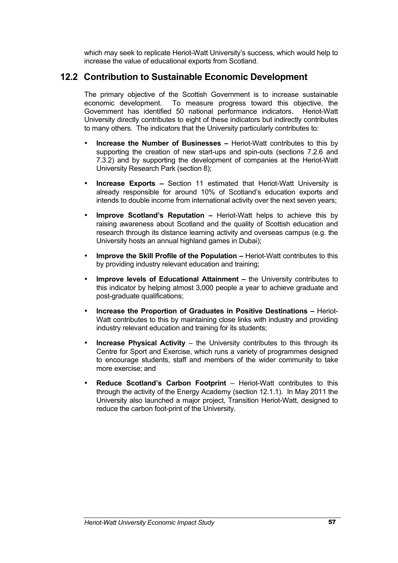which may seek to replicate Heriot-Watt University's success, which would help to increase the value of educational exports from Scotland.

# **12.2 Contribution to Sustainable Economic Development**

The primary objective of the Scottish Government is to increase sustainable economic development. To measure progress toward this objective, the Government has identified 50 national performance indicators. Heriot-Watt University directly contributes to eight of these indicators but indirectly contributes to many others. The indicators that the University particularly contributes to:

- **Increase the Number of Businesses –** Heriot-Watt contributes to this by supporting the creation of new start-ups and spin-outs (sections 7.2.6 and 7.3.2) and by supporting the development of companies at the Heriot-Watt University Research Park (section 8);
- **Increase Exports –** Section 11 estimated that Heriot-Watt University is already responsible for around 10% of Scotland's education exports and intends to double income from international activity over the next seven years;
- **Improve Scotland's Reputation –** Heriot-Watt helps to achieve this by raising awareness about Scotland and the quality of Scottish education and research through its distance learning activity and overseas campus (e.g. the University hosts an annual highland games in Dubai);
- **Improve the Skill Profile of the Population –** Heriot-Watt contributes to this by providing industry relevant education and training;
- **Improve levels of Educational Attainment –** the University contributes to this indicator by helping almost 3,000 people a year to achieve graduate and post-graduate qualifications;
- **Increase the Proportion of Graduates in Positive Destinations –** Heriot-Watt contributes to this by maintaining close links with industry and providing industry relevant education and training for its students;
- **Increase Physical Activity** the University contributes to this through its Centre for Sport and Exercise, which runs a variety of programmes designed to encourage students, staff and members of the wider community to take more exercise; and
- **Reduce Scotland's Carbon Footprint** Heriot-Watt contributes to this through the activity of the Energy Academy (section 12.1.1). In May 2011 the University also launched a major project, Transition Heriot-Watt, designed to reduce the carbon foot-print of the University.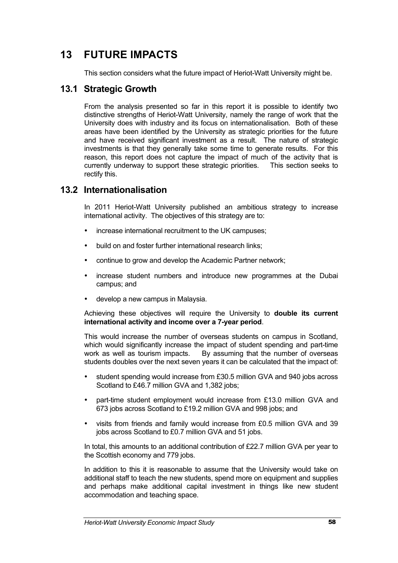# **13 FUTURE IMPACTS**

This section considers what the future impact of Heriot-Watt University might be.

# **13.1 Strategic Growth**

From the analysis presented so far in this report it is possible to identify two distinctive strengths of Heriot-Watt University, namely the range of work that the University does with industry and its focus on internationalisation. Both of these areas have been identified by the University as strategic priorities for the future and have received significant investment as a result. The nature of strategic investments is that they generally take some time to generate results. For this reason, this report does not capture the impact of much of the activity that is currently underway to support these strategic priorities. This section seeks to rectify this.

#### **13.2 Internationalisation**

In 2011 Heriot-Watt University published an ambitious strategy to increase international activity. The objectives of this strategy are to:

- increase international recruitment to the UK campuses;
- build on and foster further international research links;
- continue to grow and develop the Academic Partner network;
- increase student numbers and introduce new programmes at the Dubai campus; and
- develop a new campus in Malaysia.

Achieving these objectives will require the University to **double its current international activity and income over a 7-year period**.

This would increase the number of overseas students on campus in Scotland, which would significantly increase the impact of student spending and part-time work as well as tourism impacts. By assuming that the number of overseas students doubles over the next seven years it can be calculated that the impact of:

- student spending would increase from £30.5 million GVA and 940 jobs across Scotland to £46.7 million GVA and 1,382 jobs:
- part-time student employment would increase from £13.0 million GVA and 673 jobs across Scotland to £19.2 million GVA and 998 jobs; and
- visits from friends and family would increase from £0.5 million GVA and 39 jobs across Scotland to £0.7 million GVA and 51 jobs.

In total, this amounts to an additional contribution of £22.7 million GVA per year to the Scottish economy and 779 jobs.

In addition to this it is reasonable to assume that the University would take on additional staff to teach the new students, spend more on equipment and supplies and perhaps make additional capital investment in things like new student accommodation and teaching space.